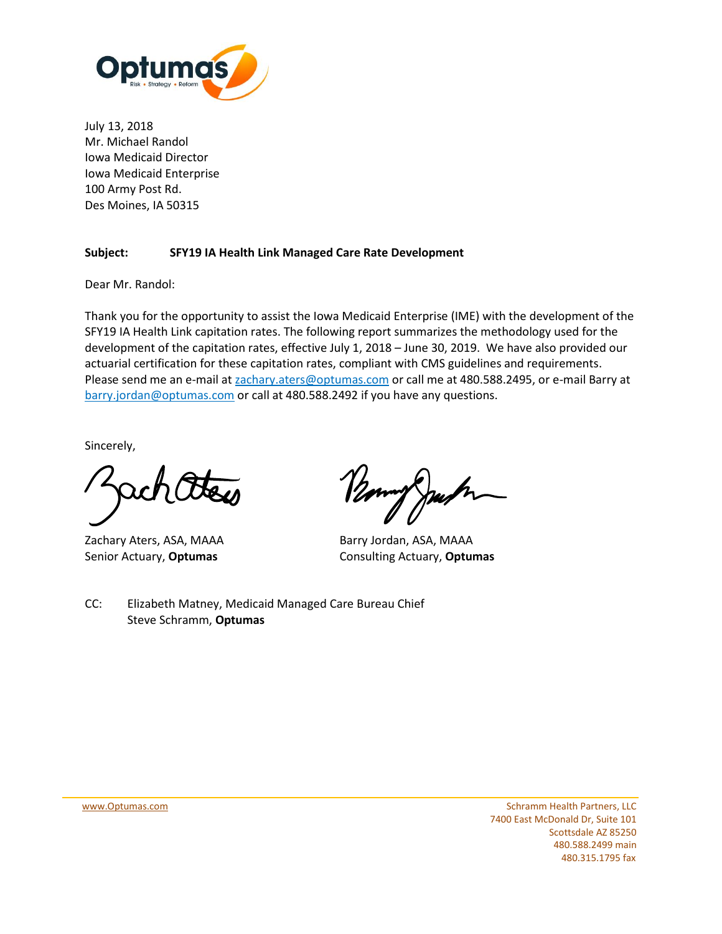

July 13, 2018 Mr. Michael Randol Iowa Medicaid Director Iowa Medicaid Enterprise 100 Army Post Rd. Des Moines, IA 50315

### **Subject: SFY19 IA Health Link Managed Care Rate Development**

Dear Mr. Randol:

Thank you for the opportunity to assist the Iowa Medicaid Enterprise (IME) with the development of the SFY19 IA Health Link capitation rates. The following report summarizes the methodology used for the development of the capitation rates, effective July 1, 2018 – June 30, 2019. We have also provided our actuarial certification for these capitation rates, compliant with CMS guidelines and requirements. Please send me an e-mail at **zachary.aters@optumas.com** or call me at 480.588.2495, or e-mail Barry at [barry.jordan@optumas.com](mailto:barry.jordan@optumas.com) or call at 480.588.2492 if you have any questions.

Sincerely,

Zachary Aters, ASA, MAAA Barry Jordan, ASA, MAAA

Senior Actuary, **Optumas** Consulting Actuary, **Optumas**

CC: Elizabeth Matney, Medicaid Managed Care Bureau Chief Steve Schramm, **Optumas**

[www.Optumas.com](http://www.optumas.com/) Schramm Health Partners, LLC 7400 East McDonald Dr, Suite 101 Scottsdale AZ 85250 480.588.2499 main 480.315.1795 fax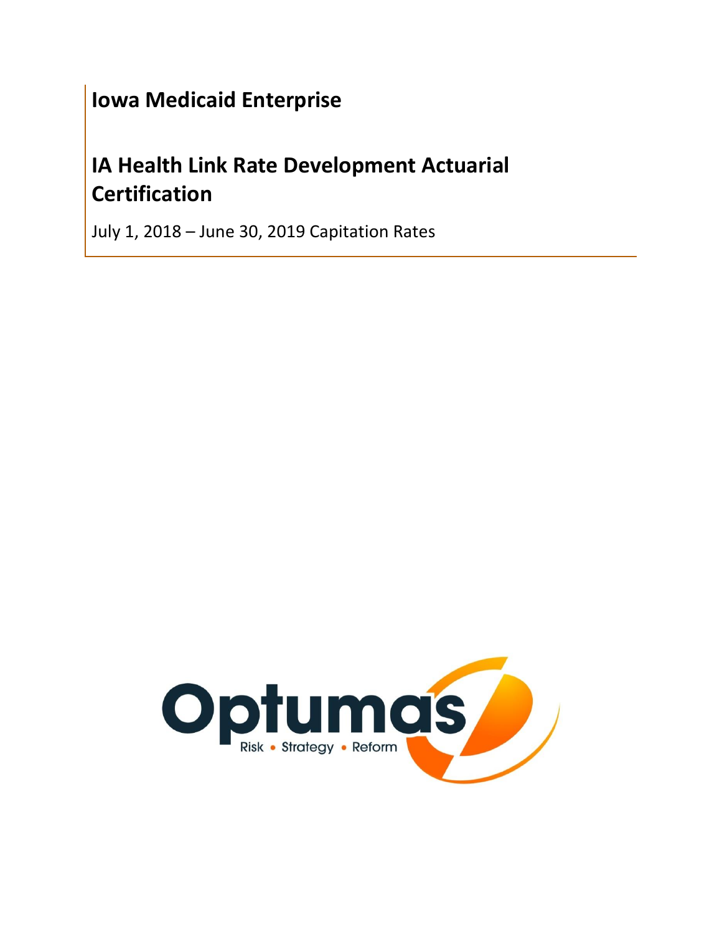# **Iowa Medicaid Enterprise**

# **IA Health Link Rate Development Actuarial Certification**

July 1, 2018 – June 30, 2019 Capitation Rates

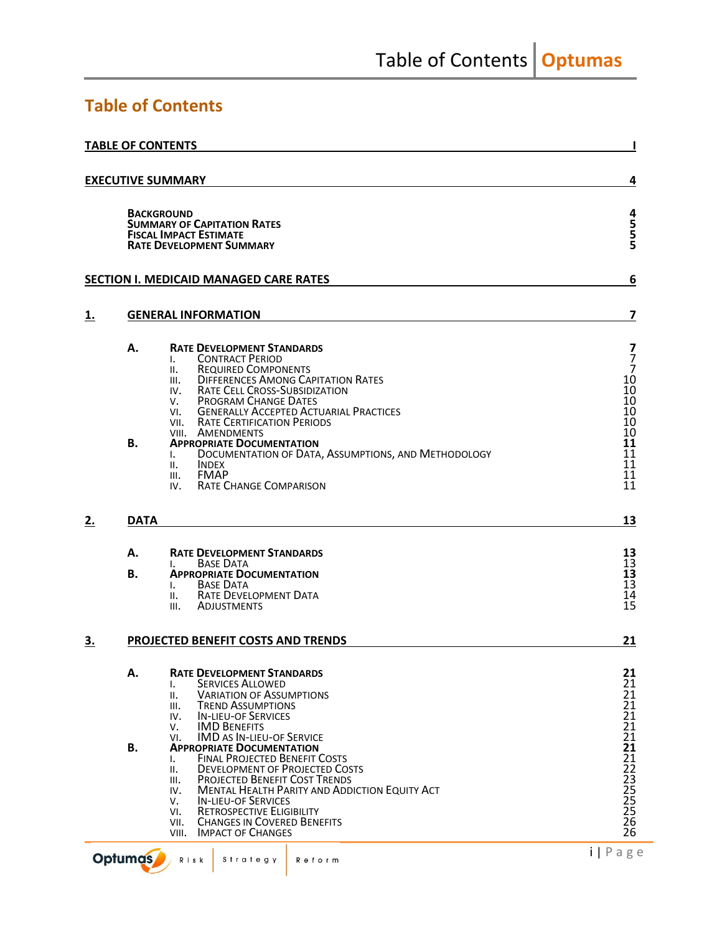## <span id="page-2-0"></span>**Table of Contents**

|           |                 | <b>TABLE OF CONTENTS</b>                                                                                                                                                                                                                                                                                                                                                                                                                                 |                                                                                 |
|-----------|-----------------|----------------------------------------------------------------------------------------------------------------------------------------------------------------------------------------------------------------------------------------------------------------------------------------------------------------------------------------------------------------------------------------------------------------------------------------------------------|---------------------------------------------------------------------------------|
|           |                 | <b>EXECUTIVE SUMMARY</b>                                                                                                                                                                                                                                                                                                                                                                                                                                 | 4                                                                               |
|           |                 | <b>BACKGROUND</b><br><b>SUMMARY OF CAPITATION RATES</b><br><b>FISCAL IMPACT ESTIMATE</b><br><b>RATE DEVELOPMENT SUMMARY</b>                                                                                                                                                                                                                                                                                                                              | 4<br>5<br>5<br>5                                                                |
|           |                 | <b>SECTION I. MEDICAID MANAGED CARE RATES</b>                                                                                                                                                                                                                                                                                                                                                                                                            | 6                                                                               |
| <u>1.</u> |                 | <b>GENERAL INFORMATION</b>                                                                                                                                                                                                                                                                                                                                                                                                                               | $\overline{ }$                                                                  |
|           | А.<br><b>B.</b> | <b>RATE DEVELOPMENT STANDARDS</b><br><b>CONTRACT PERIOD</b><br>I.<br><b>REQUIRED COMPONENTS</b><br>Ш.<br><b>DIFFERENCES AMONG CAPITATION RATES</b><br>III.<br><b>RATE CELL CROSS-SUBSIDIZATION</b><br>IV.<br><b>PROGRAM CHANGE DATES</b><br>V.<br>VI. GENERALLY ACCEPTED ACTUARIAL PRACTICES<br>VII. RATE CERTIFICATION PERIODS<br>VIII. AMENDMENTS<br><b>APPROPRIATE DOCUMENTATION</b>                                                                  | 7<br>$\overline{7}$<br>$\overline{7}$<br>10<br>10<br>10<br>10<br>10<br>10<br>11 |
|           |                 | DOCUMENTATION OF DATA, ASSUMPTIONS, AND METHODOLOGY<br>Ι.<br>II.<br><b>INDEX</b><br><b>FMAP</b><br>III.<br><b>RATE CHANGE COMPARISON</b><br>IV.                                                                                                                                                                                                                                                                                                          | 11<br>11<br>11<br>11                                                            |
| 2.        | <b>DATA</b>     |                                                                                                                                                                                                                                                                                                                                                                                                                                                          | 13                                                                              |
|           | А.<br><b>B.</b> | <b>RATE DEVELOPMENT STANDARDS</b><br><b>BASE DATA</b><br>L.<br><b>APPROPRIATE DOCUMENTATION</b><br><b>BASE DATA</b><br>I.<br><b>RATE DEVELOPMENT DATA</b><br>Ш.<br><b>ADJUSTMENTS</b><br>III.                                                                                                                                                                                                                                                            | 13<br>$1\bar{3}$<br>13<br>$1\bar{3}$<br>14<br>15                                |
| <u>3.</u> |                 | PROJECTED BENEFIT COSTS AND TRENDS                                                                                                                                                                                                                                                                                                                                                                                                                       | 21                                                                              |
|           | А.              | <b>RATE DEVELOPMENT STANDARDS</b><br>SERVICES ALLOWED<br>ı.<br><b>VARIATION OF ASSUMPTIONS</b><br>н.<br><b>TREND ASSUMPTIONS</b><br>III.<br><b>IN-LIEU-OF SERVICES</b><br>IV.<br><b>IMD BENEFITS</b><br>v.                                                                                                                                                                                                                                               | 21<br>21<br>21<br>21<br>21<br>21                                                |
|           | <b>B.</b>       | <b>IMD AS IN-LIEU-OF SERVICE</b><br>VI.<br><b>APPROPRIATE DOCUMENTATION</b><br><b>FINAL PROJECTED BENEFIT COSTS</b><br>I.<br><b>DEVELOPMENT OF PROJECTED COSTS</b><br>ΙΙ.<br><b>PROJECTED BENEFIT COST TRENDS</b><br>Ш.<br><b>MENTAL HEALTH PARITY AND ADDICTION EQUITY ACT</b><br>IV.<br><b>IN-LIEU-OF SERVICES</b><br>v.<br><b>RETROSPECTIVE ELIGIBILITY</b><br>VI.<br><b>CHANGES IN COVERED BENEFITS</b><br>VII.<br><b>IMPACT OF CHANGES</b><br>VIII. | 21<br>21<br>21<br>22<br>23<br>25<br>25<br>25<br>26<br>26                        |
|           | <b>Optumas</b>  | Risk<br>Strategy<br>Reform                                                                                                                                                                                                                                                                                                                                                                                                                               | $i   P \text{age}$                                                              |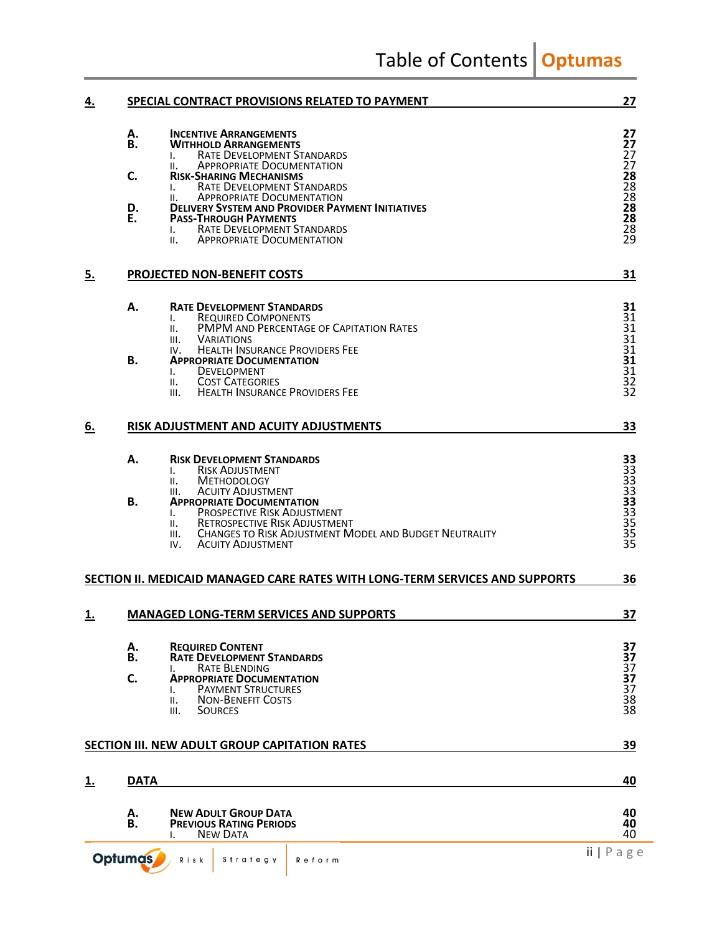Table of Contents **Optumas** 

| <u>4.</u> | SPECIAL CONTRACT PROVISIONS RELATED TO PAYMENT                                                                                                                                                                                                                                                                                                                                                                                                                             | 27                                                                          |
|-----------|----------------------------------------------------------------------------------------------------------------------------------------------------------------------------------------------------------------------------------------------------------------------------------------------------------------------------------------------------------------------------------------------------------------------------------------------------------------------------|-----------------------------------------------------------------------------|
|           | А.<br><b>INCENTIVE ARRANGEMENTS</b><br><b>B.</b><br><b>WITHHOLD ARRANGEMENTS</b><br>RATE DEVELOPMENT STANDARDS<br><b>APPROPRIATE DOCUMENTATION</b><br>н.<br>C.<br><b>RISK-SHARING MECHANISMS</b><br><b>RATE DEVELOPMENT STANDARDS</b><br>L.<br><b>APPROPRIATE DOCUMENTATION</b><br>Ш.<br>D.<br><b>DELIVERY SYSTEM AND PROVIDER PAYMENT INITIATIVES</b><br>Е.<br><b>PASS-THROUGH PAYMENTS</b><br>RATE DEVELOPMENT STANDARDS<br>L.<br><b>APPROPRIATE DOCUMENTATION</b><br>Ш. | 27<br>27<br>27<br>27<br>28<br>28<br>28<br>28<br>28<br>28<br>$\overline{29}$ |
| <u>5.</u> | <b>PROJECTED NON-BENEFIT COSTS</b>                                                                                                                                                                                                                                                                                                                                                                                                                                         | 31                                                                          |
|           | А.<br><b>RATE DEVELOPMENT STANDARDS</b><br><b>REQUIRED COMPONENTS</b><br>L.<br>PMPM AND PERCENTAGE OF CAPITATION RATES<br>Ш.<br>III.<br><b>VARIATIONS</b><br><b>HEALTH INSURANCE PROVIDERS FEE</b><br>IV.<br>Β.<br><b>APPROPRIATE DOCUMENTATION</b><br><b>DEVELOPMENT</b><br>Ι.<br><b>COST CATEGORIES</b><br>II.<br><b>HEALTH INSURANCE PROVIDERS FEE</b><br>III.                                                                                                          | 31<br>31<br>31<br>31<br>31<br>31<br>31<br>32<br>32                          |
| <u>6.</u> | RISK ADJUSTMENT AND ACUITY ADJUSTMENTS                                                                                                                                                                                                                                                                                                                                                                                                                                     | 33                                                                          |
|           | А.<br><b>RISK DEVELOPMENT STANDARDS</b><br><b>RISK ADJUSTMENT</b><br>I.<br><b>METHODOLOGY</b><br>Ш.<br><b>ACUITY ADJUSTMENT</b><br>III.<br>В.<br><b>APPROPRIATE DOCUMENTATION</b><br>PROSPECTIVE RISK ADJUSTMENT<br>Ι.<br><b>RETROSPECTIVE RISK ADJUSTMENT</b><br>Ш.<br><b>CHANGES TO RISK ADJUSTMENT MODEL AND BUDGET NEUTRALITY</b><br>III.<br><b>ACUITY ADJUSTMENT</b><br>IV.                                                                                           | 33<br>33<br>33<br>33<br>35<br>35<br>$\overline{35}$<br>$\overline{35}$      |
|           | SECTION II. MEDICAID MANAGED CARE RATES WITH LONG-TERM SERVICES AND SUPPORTS                                                                                                                                                                                                                                                                                                                                                                                               | 36                                                                          |
| <u>1.</u> | <b>MANAGED LONG-TERM SERVICES AND SUPPORTS</b>                                                                                                                                                                                                                                                                                                                                                                                                                             | <u>37</u>                                                                   |
|           | А.<br><b>REQUIRED CONTENT</b><br>В.<br><b>RATE DEVELOPMENT STANDARDS</b><br><b>RATE BLENDING</b><br>L.<br>C.<br><b>APPROPRIATE DOCUMENTATION</b><br><b>PAYMENT STRUCTURES</b><br>L.<br><b>NON-BENEFIT COSTS</b><br>Ш.<br><b>SOURCES</b><br>III.                                                                                                                                                                                                                            | 37<br>37<br>37<br>37<br>$\overline{37}$<br>38<br>38                         |
|           | SECTION III. NEW ADULT GROUP CAPITATION RATES                                                                                                                                                                                                                                                                                                                                                                                                                              | 39                                                                          |
| <u>1.</u> | <b>DATA</b>                                                                                                                                                                                                                                                                                                                                                                                                                                                                | 40                                                                          |
|           | А.<br><b>NEW ADULT GROUP DATA</b><br>В.<br><b>PREVIOUS RATING PERIODS</b><br><b>NEW DATA</b>                                                                                                                                                                                                                                                                                                                                                                               | 40<br>40<br>40                                                              |
|           | <b>Optumas</b><br>Strategy<br>Risk<br>Reform                                                                                                                                                                                                                                                                                                                                                                                                                               | $ii   P \nexists g e$                                                       |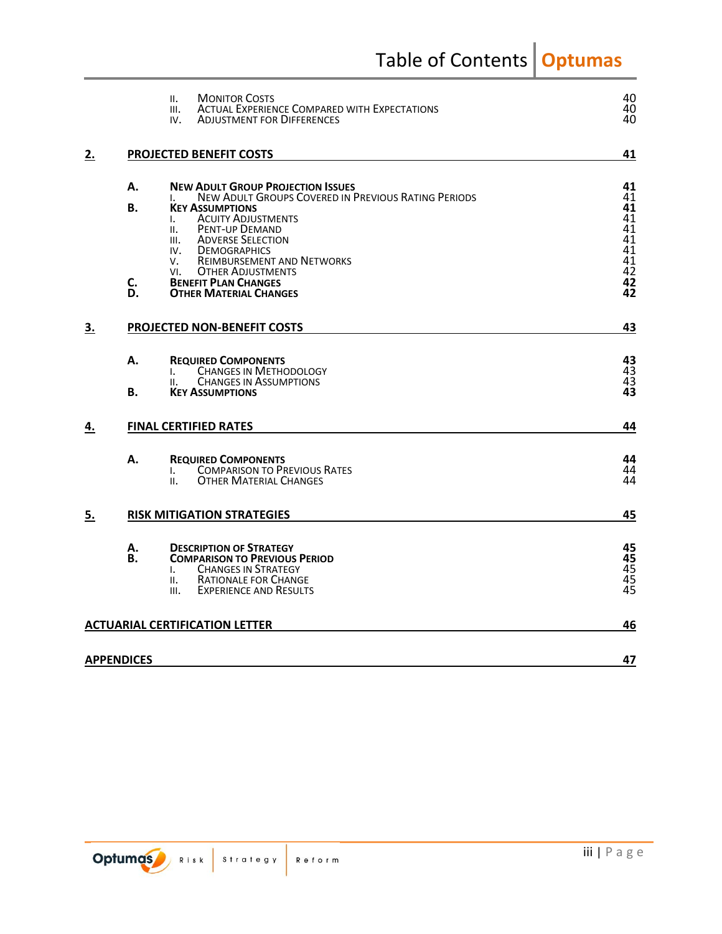Table of Contents **Optumas** 

|           | <b>MONITOR COSTS</b><br>н.<br><b>ACTUAL EXPERIENCE COMPARED WITH EXPECTATIONS</b><br>III.<br><b>ADJUSTMENT FOR DIFFERENCES</b><br>IV.                                                                                                                                                                                                                           | 40<br>40<br>40                                            |
|-----------|-----------------------------------------------------------------------------------------------------------------------------------------------------------------------------------------------------------------------------------------------------------------------------------------------------------------------------------------------------------------|-----------------------------------------------------------|
| 2.        | PROJECTED BENEFIT COSTS                                                                                                                                                                                                                                                                                                                                         | 41                                                        |
|           | А.<br><b>NEW ADULT GROUP PROJECTION ISSUES</b><br>NEW ADULT GROUPS COVERED IN PREVIOUS RATING PERIODS<br><b>B.</b><br><b>KEY ASSUMPTIONS</b><br><b>ACUITY ADJUSTMENTS</b><br>I.<br><b>PENT-UP DEMAND</b><br>II.<br><b>ADVERSE SELECTION</b><br>III.<br><b>DEMOGRAPHICS</b><br>IV.<br><b>REIMBURSEMENT AND NETWORKS</b><br>V.<br><b>OTHER ADJUSTMENTS</b><br>VI. | 41<br>41<br>41<br>41<br>41<br>41<br>$4\overline{1}$<br>41 |
|           | C.<br><b>BENEFIT PLAN CHANGES</b><br>D.<br><b>OTHER MATERIAL CHANGES</b>                                                                                                                                                                                                                                                                                        | $\frac{42}{42}$                                           |
| 3.        | PROJECTED NON-BENEFIT COSTS                                                                                                                                                                                                                                                                                                                                     |                                                           |
|           | А.<br><b>REQUIRED COMPONENTS</b><br><b>CHANGES IN METHODOLOGY</b><br>I.<br><b>CHANGES IN ASSUMPTIONS</b><br>н.<br>В.<br><b>KEY ASSUMPTIONS</b>                                                                                                                                                                                                                  | 43<br>43<br>43<br>$\overline{43}$                         |
| <u>4.</u> | <b>FINAL CERTIFIED RATES</b>                                                                                                                                                                                                                                                                                                                                    | 44                                                        |
|           | Α.<br><b>REQUIRED COMPONENTS</b><br><b>COMPARISON TO PREVIOUS RATES</b><br>I.<br><b>OTHER MATERIAL CHANGES</b><br>II.                                                                                                                                                                                                                                           | 44<br>44<br>44                                            |
| 5.        | <b>RISK MITIGATION STRATEGIES</b>                                                                                                                                                                                                                                                                                                                               |                                                           |
|           | А.<br><b>DESCRIPTION OF STRATEGY</b><br>В.<br><b>COMPARISON TO PREVIOUS PERIOD</b><br><b>CHANGES IN STRATEGY</b><br>Ι.<br><b>RATIONALE FOR CHANGE</b><br>Ш.<br><b>EXPERIENCE AND RESULTS</b><br>III.                                                                                                                                                            | 45<br>45<br>$\frac{45}{45}$                               |
|           | <b>ACTUARIAL CERTIFICATION LETTER</b>                                                                                                                                                                                                                                                                                                                           | 46                                                        |
|           | <b>APPENDICES</b>                                                                                                                                                                                                                                                                                                                                               | 47                                                        |

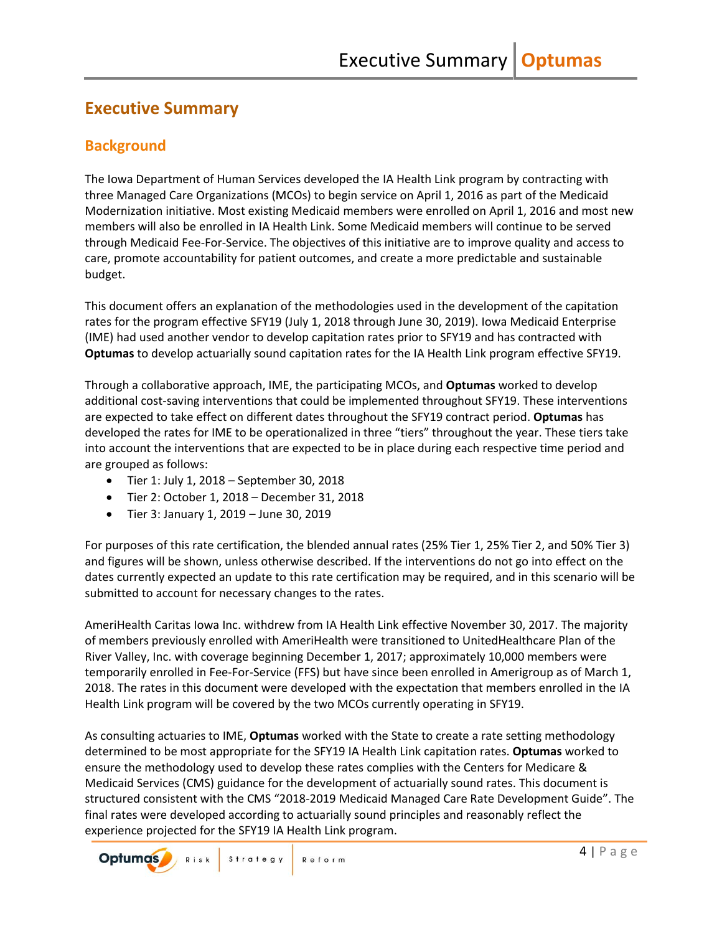## <span id="page-5-0"></span>**Executive Summary**

## <span id="page-5-1"></span>**Background**

The Iowa Department of Human Services developed the IA Health Link program by contracting with three Managed Care Organizations (MCOs) to begin service on April 1, 2016 as part of the Medicaid Modernization initiative. Most existing Medicaid members were enrolled on April 1, 2016 and most new members will also be enrolled in IA Health Link. Some Medicaid members will continue to be served through Medicaid Fee-For-Service. The objectives of this initiative are to improve quality and access to care, promote accountability for patient outcomes, and create a more predictable and sustainable budget.

This document offers an explanation of the methodologies used in the development of the capitation rates for the program effective SFY19 (July 1, 2018 through June 30, 2019). Iowa Medicaid Enterprise (IME) had used another vendor to develop capitation rates prior to SFY19 and has contracted with **Optumas** to develop actuarially sound capitation rates for the IA Health Link program effective SFY19.

Through a collaborative approach, IME, the participating MCOs, and **Optumas** worked to develop additional cost-saving interventions that could be implemented throughout SFY19. These interventions are expected to take effect on different dates throughout the SFY19 contract period. **Optumas** has developed the rates for IME to be operationalized in three "tiers" throughout the year. These tiers take into account the interventions that are expected to be in place during each respective time period and are grouped as follows:

- Tier 1: July 1, 2018 September 30, 2018
- Tier 2: October 1, 2018 December 31, 2018
- Tier 3: January 1, 2019 June 30, 2019

For purposes of this rate certification, the blended annual rates (25% Tier 1, 25% Tier 2, and 50% Tier 3) and figures will be shown, unless otherwise described. If the interventions do not go into effect on the dates currently expected an update to this rate certification may be required, and in this scenario will be submitted to account for necessary changes to the rates.

AmeriHealth Caritas Iowa Inc. withdrew from IA Health Link effective November 30, 2017. The majority of members previously enrolled with AmeriHealth were transitioned to UnitedHealthcare Plan of the River Valley, Inc. with coverage beginning December 1, 2017; approximately 10,000 members were temporarily enrolled in Fee-For-Service (FFS) but have since been enrolled in Amerigroup as of March 1, 2018. The rates in this document were developed with the expectation that members enrolled in the IA Health Link program will be covered by the two MCOs currently operating in SFY19.

As consulting actuaries to IME, **Optumas** worked with the State to create a rate setting methodology determined to be most appropriate for the SFY19 IA Health Link capitation rates. **Optumas** worked to ensure the methodology used to develop these rates complies with the Centers for Medicare & Medicaid Services (CMS) guidance for the development of actuarially sound rates. This document is structured consistent with the CMS "2018-2019 Medicaid Managed Care Rate Development Guide". The final rates were developed according to actuarially sound principles and reasonably reflect the experience projected for the SFY19 IA Health Link program.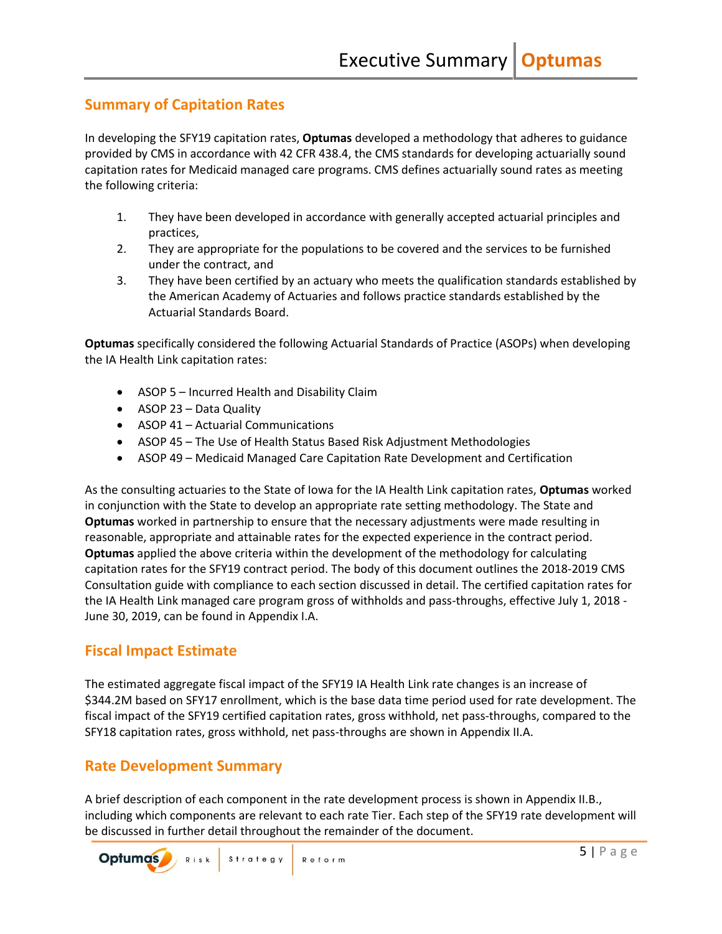### <span id="page-6-0"></span>**Summary of Capitation Rates**

In developing the SFY19 capitation rates, **Optumas** developed a methodology that adheres to guidance provided by CMS in accordance with 42 CFR 438.4, the CMS standards for developing actuarially sound capitation rates for Medicaid managed care programs. CMS defines actuarially sound rates as meeting the following criteria:

- 1. They have been developed in accordance with generally accepted actuarial principles and practices,
- 2. They are appropriate for the populations to be covered and the services to be furnished under the contract, and
- 3. They have been certified by an actuary who meets the qualification standards established by the American Academy of Actuaries and follows practice standards established by the Actuarial Standards Board.

**Optumas** specifically considered the following Actuarial Standards of Practice (ASOPs) when developing the IA Health Link capitation rates:

- ASOP 5 Incurred Health and Disability Claim
- ASOP 23 Data Quality
- ASOP 41 Actuarial Communications
- ASOP 45 The Use of Health Status Based Risk Adjustment Methodologies
- ASOP 49 Medicaid Managed Care Capitation Rate Development and Certification

As the consulting actuaries to the State of Iowa for the IA Health Link capitation rates, **Optumas** worked in conjunction with the State to develop an appropriate rate setting methodology. The State and **Optumas** worked in partnership to ensure that the necessary adjustments were made resulting in reasonable, appropriate and attainable rates for the expected experience in the contract period. **Optumas** applied the above criteria within the development of the methodology for calculating capitation rates for the SFY19 contract period. The body of this document outlines the 2018-2019 CMS Consultation guide with compliance to each section discussed in detail. The certified capitation rates for the IA Health Link managed care program gross of withholds and pass-throughs, effective July 1, 2018 - June 30, 2019, can be found in Appendix I.A.

### <span id="page-6-1"></span>**Fiscal Impact Estimate**

The estimated aggregate fiscal impact of the SFY19 IA Health Link rate changes is an increase of \$344.2M based on SFY17 enrollment, which is the base data time period used for rate development. The fiscal impact of the SFY19 certified capitation rates, gross withhold, net pass-throughs, compared to the SFY18 capitation rates, gross withhold, net pass-throughs are shown in Appendix II.A.

### <span id="page-6-2"></span>**Rate Development Summary**

A brief description of each component in the rate development process is shown in Appendix II.B., including which components are relevant to each rate Tier. Each step of the SFY19 rate development will be discussed in further detail throughout the remainder of the document.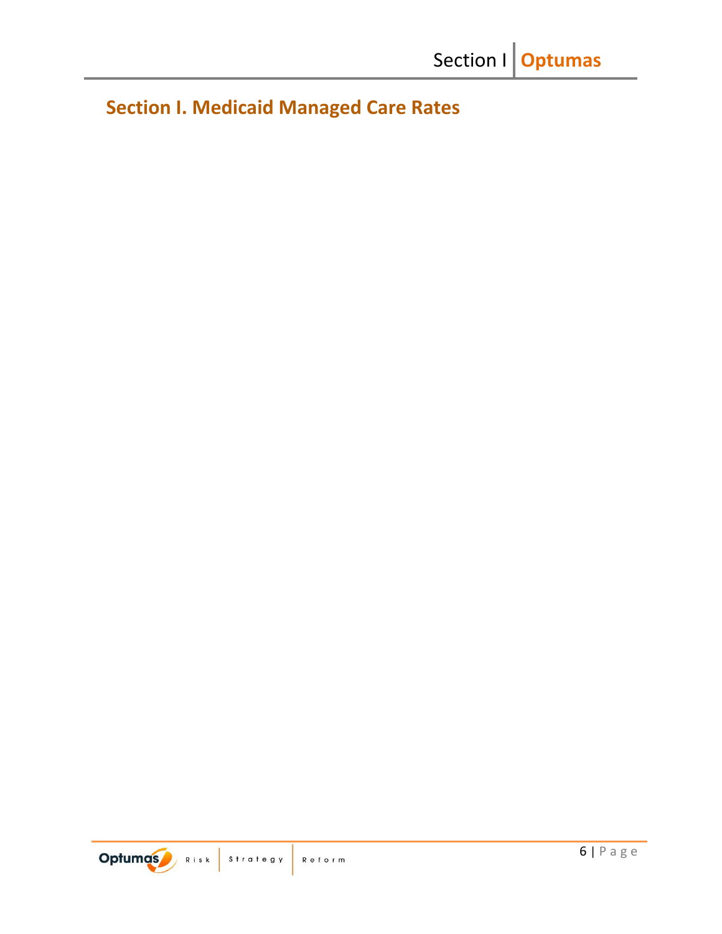<span id="page-7-0"></span>**Section I. Medicaid Managed Care Rates**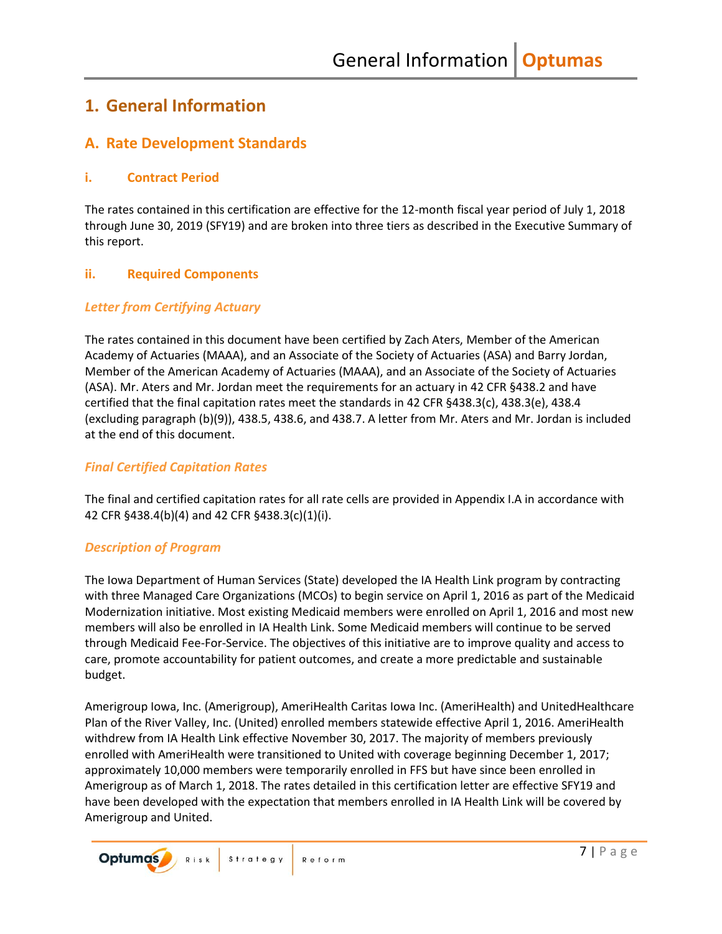## <span id="page-8-0"></span>**1. General Information**

## <span id="page-8-1"></span>**A. Rate Development Standards**

### <span id="page-8-2"></span>**i. Contract Period**

The rates contained in this certification are effective for the 12-month fiscal year period of July 1, 2018 through June 30, 2019 (SFY19) and are broken into three tiers as described in the Executive Summary of this report.

### <span id="page-8-3"></span>**ii. Required Components**

### *Letter from Certifying Actuary*

The rates contained in this document have been certified by Zach Aters, Member of the American Academy of Actuaries (MAAA), and an Associate of the Society of Actuaries (ASA) and Barry Jordan, Member of the American Academy of Actuaries (MAAA), and an Associate of the Society of Actuaries (ASA). Mr. Aters and Mr. Jordan meet the requirements for an actuary in 42 CFR §438.2 and have certified that the final capitation rates meet the standards in 42 CFR §438.3(c), 438.3(e), 438.4 (excluding paragraph (b)(9)), 438.5, 438.6, and 438.7. A letter from Mr. Aters and Mr. Jordan is included at the end of this document.

### *Final Certified Capitation Rates*

The final and certified capitation rates for all rate cells are provided in Appendix I.A in accordance with 42 CFR §438.4(b)(4) and 42 CFR §438.3(c)(1)(i).

### *Description of Program*

The Iowa Department of Human Services (State) developed the IA Health Link program by contracting with three Managed Care Organizations (MCOs) to begin service on April 1, 2016 as part of the Medicaid Modernization initiative. Most existing Medicaid members were enrolled on April 1, 2016 and most new members will also be enrolled in IA Health Link. Some Medicaid members will continue to be served through Medicaid Fee-For-Service. The objectives of this initiative are to improve quality and access to care, promote accountability for patient outcomes, and create a more predictable and sustainable budget.

Amerigroup Iowa, Inc. (Amerigroup), AmeriHealth Caritas Iowa Inc. (AmeriHealth) and UnitedHealthcare Plan of the River Valley, Inc. (United) enrolled members statewide effective April 1, 2016. AmeriHealth withdrew from IA Health Link effective November 30, 2017. The majority of members previously enrolled with AmeriHealth were transitioned to United with coverage beginning December 1, 2017; approximately 10,000 members were temporarily enrolled in FFS but have since been enrolled in Amerigroup as of March 1, 2018. The rates detailed in this certification letter are effective SFY19 and have been developed with the expectation that members enrolled in IA Health Link will be covered by Amerigroup and United.

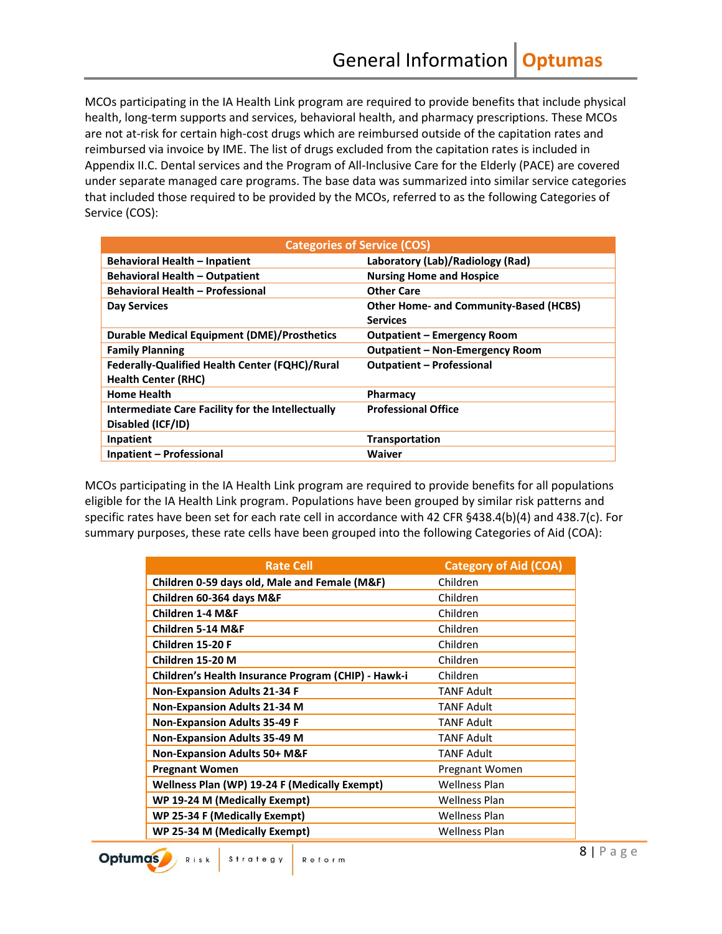MCOs participating in the IA Health Link program are required to provide benefits that include physical health, long-term supports and services, behavioral health, and pharmacy prescriptions. These MCOs are not at-risk for certain high-cost drugs which are reimbursed outside of the capitation rates and reimbursed via invoice by IME. The list of drugs excluded from the capitation rates is included in Appendix II.C. Dental services and the Program of All-Inclusive Care for the Elderly (PACE) are covered under separate managed care programs. The base data was summarized into similar service categories that included those required to be provided by the MCOs, referred to as the following Categories of Service (COS):

| <b>Categories of Service (COS)</b>                    |                                               |  |
|-------------------------------------------------------|-----------------------------------------------|--|
| <b>Behavioral Health - Inpatient</b>                  | Laboratory (Lab)/Radiology (Rad)              |  |
| <b>Behavioral Health - Outpatient</b>                 | <b>Nursing Home and Hospice</b>               |  |
| <b>Behavioral Health - Professional</b>               | <b>Other Care</b>                             |  |
| <b>Day Services</b>                                   | <b>Other Home- and Community-Based (HCBS)</b> |  |
|                                                       | <b>Services</b>                               |  |
| <b>Durable Medical Equipment (DME)/Prosthetics</b>    | <b>Outpatient – Emergency Room</b>            |  |
| <b>Family Planning</b>                                | <b>Outpatient - Non-Emergency Room</b>        |  |
| <b>Federally-Qualified Health Center (FQHC)/Rural</b> | <b>Outpatient - Professional</b>              |  |
| <b>Health Center (RHC)</b>                            |                                               |  |
| <b>Home Health</b>                                    | Pharmacy                                      |  |
| Intermediate Care Facility for the Intellectually     | <b>Professional Office</b>                    |  |
| Disabled (ICF/ID)                                     |                                               |  |
| Inpatient                                             | Transportation                                |  |
| <b>Inpatient - Professional</b>                       | Waiver                                        |  |

MCOs participating in the IA Health Link program are required to provide benefits for all populations eligible for the IA Health Link program. Populations have been grouped by similar risk patterns and specific rates have been set for each rate cell in accordance with 42 CFR §438.4(b)(4) and 438.7(c). For summary purposes, these rate cells have been grouped into the following Categories of Aid (COA):

| <b>Rate Cell</b>                                    | <b>Category of Aid (COA)</b> |
|-----------------------------------------------------|------------------------------|
| Children 0-59 days old, Male and Female (M&F)       | Children                     |
| Children 60-364 days M&F                            | Children                     |
| Children 1-4 M&F                                    | Children                     |
| Children 5-14 M&F                                   | Children                     |
| Children 15-20 F                                    | Children                     |
| Children 15-20 M                                    | Children                     |
| Children's Health Insurance Program (CHIP) - Hawk-i | Children                     |
| <b>Non-Expansion Adults 21-34 F</b>                 | <b>TANF Adult</b>            |
| <b>Non-Expansion Adults 21-34 M</b>                 | <b>TANF Adult</b>            |
| <b>Non-Expansion Adults 35-49 F</b>                 | <b>TANF Adult</b>            |
| <b>Non-Expansion Adults 35-49 M</b>                 | <b>TANF Adult</b>            |
| <b>Non-Expansion Adults 50+ M&amp;F</b>             | <b>TANF Adult</b>            |
| <b>Pregnant Women</b>                               | Pregnant Women               |
| Wellness Plan (WP) 19-24 F (Medically Exempt)       | <b>Wellness Plan</b>         |
| WP 19-24 M (Medically Exempt)                       | <b>Wellness Plan</b>         |
| WP 25-34 F (Medically Exempt)                       | <b>Wellness Plan</b>         |
| WP 25-34 M (Medically Exempt)                       | <b>Wellness Plan</b>         |

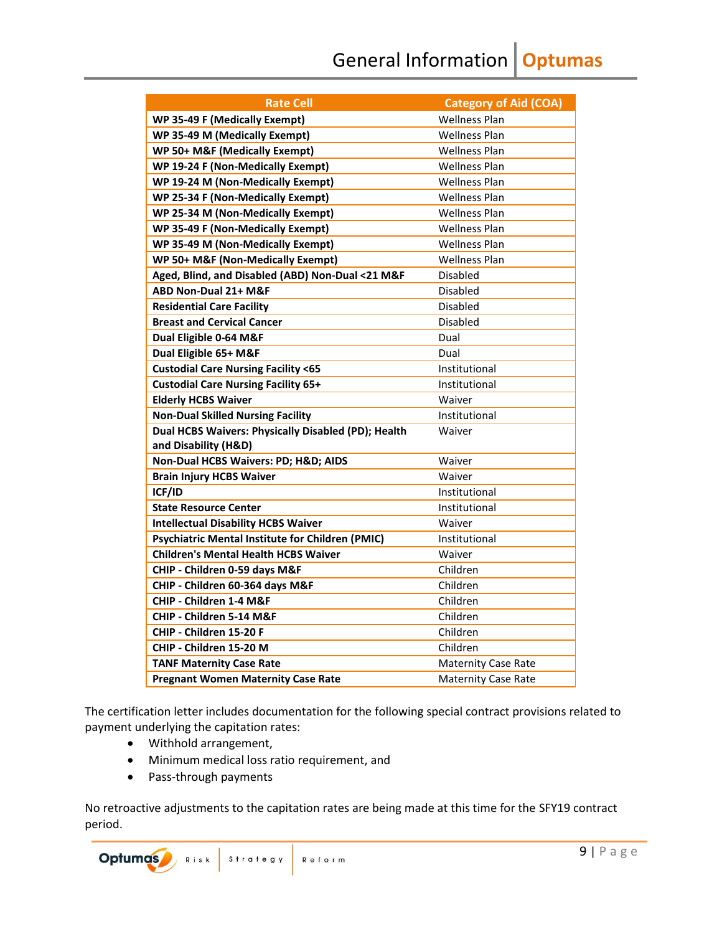General Information **Optumas**

| <b>Rate Cell</b>                                    | <b>Category of Aid (COA)</b> |
|-----------------------------------------------------|------------------------------|
| WP 35-49 F (Medically Exempt)                       | <b>Wellness Plan</b>         |
| WP 35-49 M (Medically Exempt)                       | <b>Wellness Plan</b>         |
| WP 50+ M&F (Medically Exempt)                       | <b>Wellness Plan</b>         |
| WP 19-24 F (Non-Medically Exempt)                   | <b>Wellness Plan</b>         |
| WP 19-24 M (Non-Medically Exempt)                   | <b>Wellness Plan</b>         |
| WP 25-34 F (Non-Medically Exempt)                   | <b>Wellness Plan</b>         |
| WP 25-34 M (Non-Medically Exempt)                   | <b>Wellness Plan</b>         |
| WP 35-49 F (Non-Medically Exempt)                   | <b>Wellness Plan</b>         |
| WP 35-49 M (Non-Medically Exempt)                   | <b>Wellness Plan</b>         |
| WP 50+ M&F (Non-Medically Exempt)                   | <b>Wellness Plan</b>         |
| Aged, Blind, and Disabled (ABD) Non-Dual <21 M&F    | Disabled                     |
| ABD Non-Dual 21+ M&F                                | Disabled                     |
| <b>Residential Care Facility</b>                    | <b>Disabled</b>              |
| <b>Breast and Cervical Cancer</b>                   | <b>Disabled</b>              |
| Dual Eligible 0-64 M&F                              | Dual                         |
| Dual Eligible 65+ M&F                               | Dual                         |
| <b>Custodial Care Nursing Facility &lt;65</b>       | Institutional                |
| <b>Custodial Care Nursing Facility 65+</b>          | Institutional                |
| <b>Elderly HCBS Waiver</b>                          | Waiver                       |
| <b>Non-Dual Skilled Nursing Facility</b>            | Institutional                |
| Dual HCBS Waivers: Physically Disabled (PD); Health | Waiver                       |
| and Disability (H&D)                                |                              |
| Non-Dual HCBS Waivers: PD; H&D AIDS                 | Waiver                       |
| <b>Brain Injury HCBS Waiver</b>                     | Waiver                       |
| ICF/ID                                              | Institutional                |
| <b>State Resource Center</b>                        | Institutional                |
| <b>Intellectual Disability HCBS Waiver</b>          | Waiver                       |
| Psychiatric Mental Institute for Children (PMIC)    | Institutional                |
| <b>Children's Mental Health HCBS Waiver</b>         | Waiver                       |
| CHIP - Children 0-59 days M&F                       | Children                     |
| CHIP - Children 60-364 days M&F                     | Children                     |
| CHIP - Children 1-4 M&F                             | Children                     |
| CHIP - Children 5-14 M&F                            | Children                     |
| CHIP - Children 15-20 F                             | Children                     |
| CHIP - Children 15-20 M                             | Children                     |
| <b>TANF Maternity Case Rate</b>                     | <b>Maternity Case Rate</b>   |
| <b>Pregnant Women Maternity Case Rate</b>           | <b>Maternity Case Rate</b>   |

The certification letter includes documentation for the following special contract provisions related to payment underlying the capitation rates:

- Withhold arrangement,
- Minimum medical loss ratio requirement, and
- Pass-through payments

No retroactive adjustments to the capitation rates are being made at this time for the SFY19 contract period.

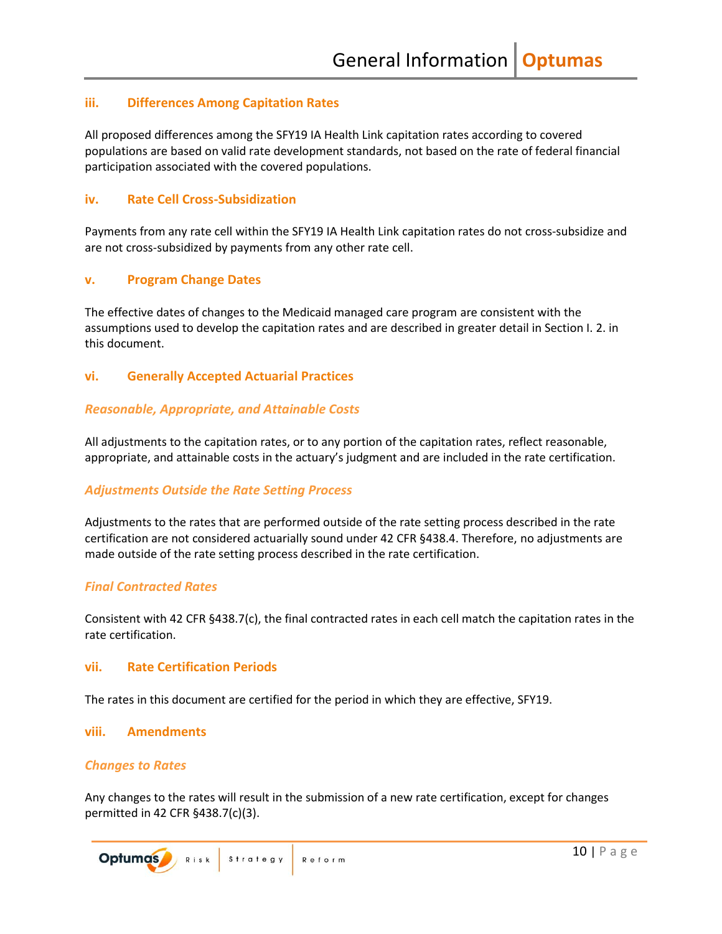### <span id="page-11-0"></span>**iii. Differences Among Capitation Rates**

All proposed differences among the SFY19 IA Health Link capitation rates according to covered populations are based on valid rate development standards, not based on the rate of federal financial participation associated with the covered populations.

### <span id="page-11-1"></span>**iv. Rate Cell Cross-Subsidization**

Payments from any rate cell within the SFY19 IA Health Link capitation rates do not cross-subsidize and are not cross-subsidized by payments from any other rate cell.

### <span id="page-11-2"></span>**v. Program Change Dates**

The effective dates of changes to the Medicaid managed care program are consistent with the assumptions used to develop the capitation rates and are described in greater detail in Section I. 2. in this document.

### <span id="page-11-3"></span>**vi. Generally Accepted Actuarial Practices**

### *Reasonable, Appropriate, and Attainable Costs*

All adjustments to the capitation rates, or to any portion of the capitation rates, reflect reasonable, appropriate, and attainable costs in the actuary's judgment and are included in the rate certification.

### *Adjustments Outside the Rate Setting Process*

Adjustments to the rates that are performed outside of the rate setting process described in the rate certification are not considered actuarially sound under 42 CFR §438.4. Therefore, no adjustments are made outside of the rate setting process described in the rate certification.

### *Final Contracted Rates*

Consistent with 42 CFR §438.7(c), the final contracted rates in each cell match the capitation rates in the rate certification.

#### <span id="page-11-4"></span>**vii. Rate Certification Periods**

The rates in this document are certified for the period in which they are effective, SFY19.

### <span id="page-11-5"></span>**viii. Amendments**

### *Changes to Rates*

Any changes to the rates will result in the submission of a new rate certification, except for changes permitted in 42 CFR §438.7(c)(3).

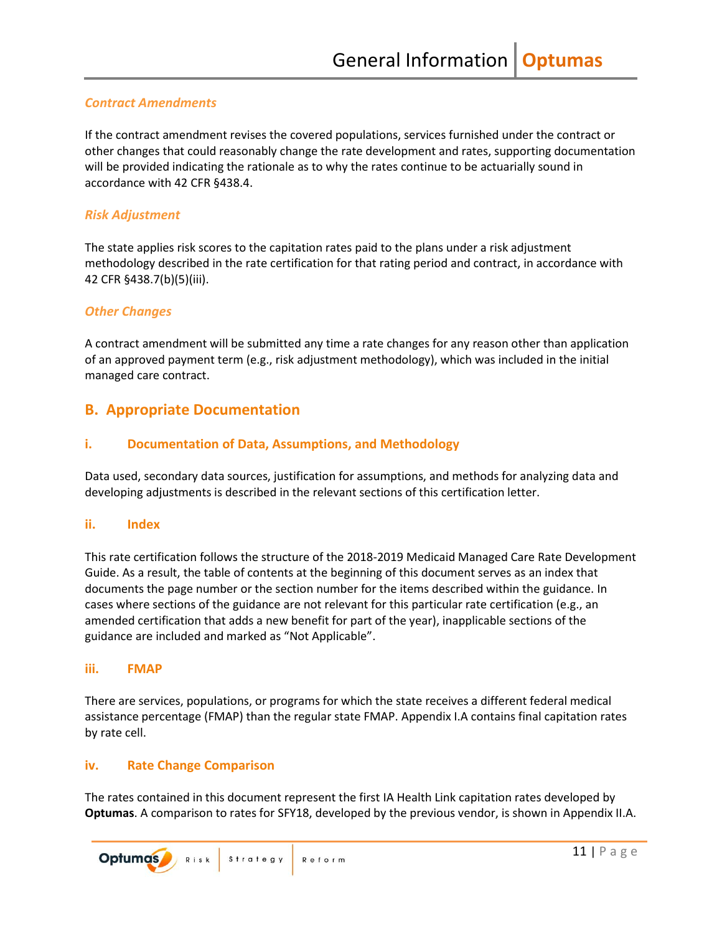### *Contract Amendments*

If the contract amendment revises the covered populations, services furnished under the contract or other changes that could reasonably change the rate development and rates, supporting documentation will be provided indicating the rationale as to why the rates continue to be actuarially sound in accordance with 42 CFR §438.4.

#### *Risk Adjustment*

The state applies risk scores to the capitation rates paid to the plans under a risk adjustment methodology described in the rate certification for that rating period and contract, in accordance with 42 CFR §438.7(b)(5)(iii).

### *Other Changes*

A contract amendment will be submitted any time a rate changes for any reason other than application of an approved payment term (e.g., risk adjustment methodology), which was included in the initial managed care contract.

### <span id="page-12-0"></span>**B. Appropriate Documentation**

### <span id="page-12-1"></span>**i. Documentation of Data, Assumptions, and Methodology**

Data used, secondary data sources, justification for assumptions, and methods for analyzing data and developing adjustments is described in the relevant sections of this certification letter.

### <span id="page-12-2"></span>**ii. Index**

This rate certification follows the structure of the 2018-2019 Medicaid Managed Care Rate Development Guide. As a result, the table of contents at the beginning of this document serves as an index that documents the page number or the section number for the items described within the guidance. In cases where sections of the guidance are not relevant for this particular rate certification (e.g., an amended certification that adds a new benefit for part of the year), inapplicable sections of the guidance are included and marked as "Not Applicable".

#### <span id="page-12-3"></span>**iii. FMAP**

There are services, populations, or programs for which the state receives a different federal medical assistance percentage (FMAP) than the regular state FMAP. Appendix I.A contains final capitation rates by rate cell.

#### <span id="page-12-4"></span>**iv. Rate Change Comparison**

The rates contained in this document represent the first IA Health Link capitation rates developed by **Optumas**. A comparison to rates for SFY18, developed by the previous vendor, is shown in Appendix II.A.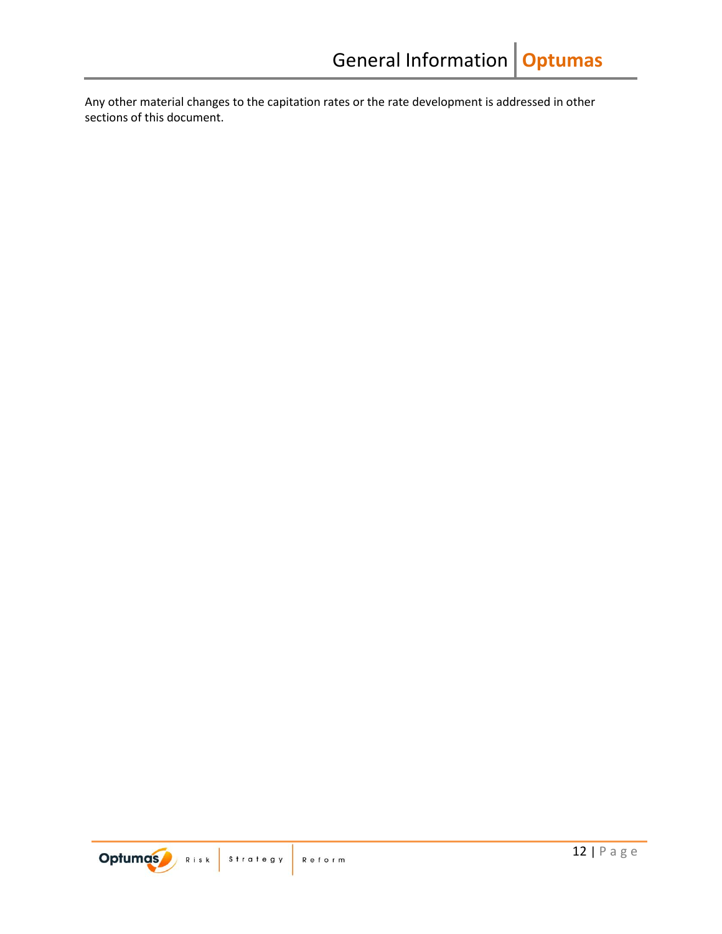Any other material changes to the capitation rates or the rate development is addressed in other sections of this document.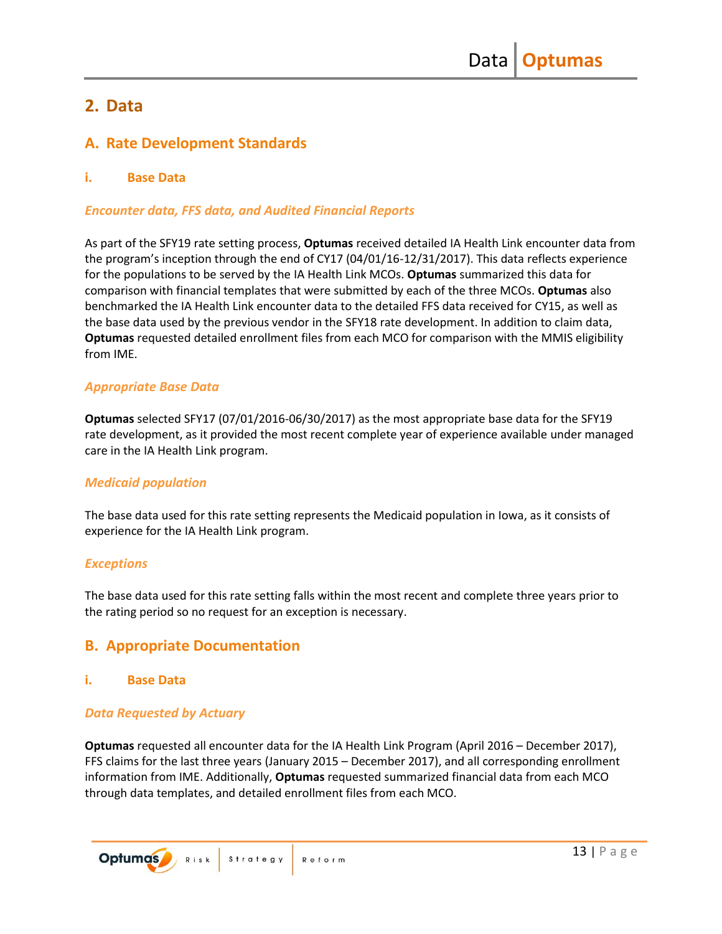## <span id="page-14-0"></span>**2. Data**

## <span id="page-14-1"></span>**A. Rate Development Standards**

### <span id="page-14-2"></span>**i. Base Data**

### *Encounter data, FFS data, and Audited Financial Reports*

As part of the SFY19 rate setting process, **Optumas** received detailed IA Health Link encounter data from the program's inception through the end of CY17 (04/01/16-12/31/2017). This data reflects experience for the populations to be served by the IA Health Link MCOs. **Optumas** summarized this data for comparison with financial templates that were submitted by each of the three MCOs. **Optumas** also benchmarked the IA Health Link encounter data to the detailed FFS data received for CY15, as well as the base data used by the previous vendor in the SFY18 rate development. In addition to claim data, **Optumas** requested detailed enrollment files from each MCO for comparison with the MMIS eligibility from IME.

### *Appropriate Base Data*

**Optumas** selected SFY17 (07/01/2016-06/30/2017) as the most appropriate base data for the SFY19 rate development, as it provided the most recent complete year of experience available under managed care in the IA Health Link program.

### *Medicaid population*

The base data used for this rate setting represents the Medicaid population in Iowa, as it consists of experience for the IA Health Link program.

### *Exceptions*

The base data used for this rate setting falls within the most recent and complete three years prior to the rating period so no request for an exception is necessary.

### <span id="page-14-3"></span>**B. Appropriate Documentation**

### <span id="page-14-4"></span>**i. Base Data**

### *Data Requested by Actuary*

**Optumas** requested all encounter data for the IA Health Link Program (April 2016 – December 2017), FFS claims for the last three years (January 2015 – December 2017), and all corresponding enrollment information from IME. Additionally, **Optumas** requested summarized financial data from each MCO through data templates, and detailed enrollment files from each MCO.

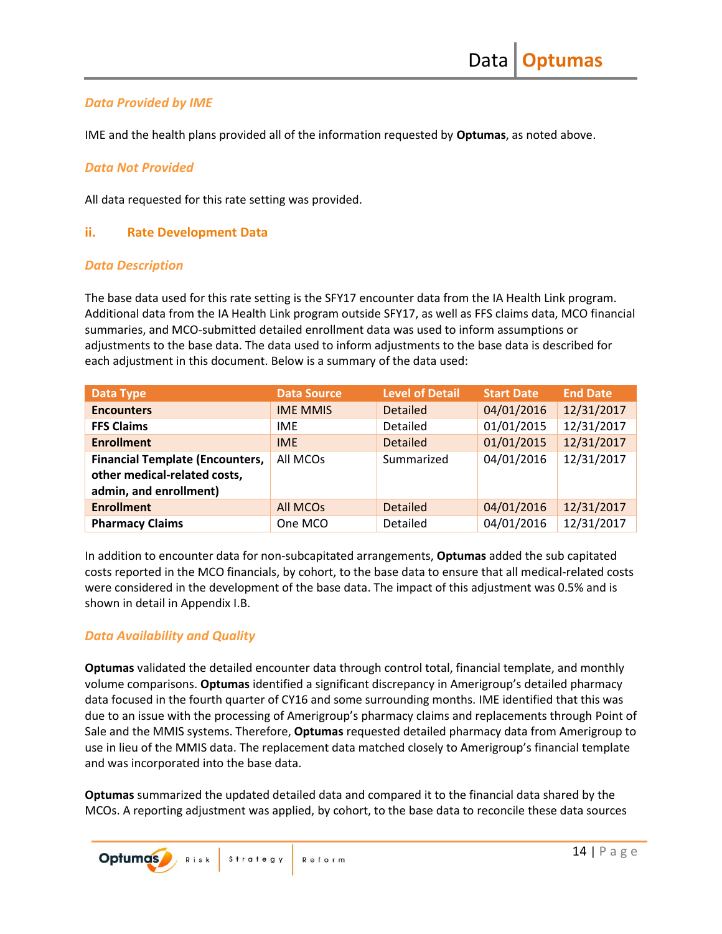### *Data Provided by IME*

IME and the health plans provided all of the information requested by **Optumas**, as noted above.

### *Data Not Provided*

All data requested for this rate setting was provided.

### <span id="page-15-0"></span>**ii. Rate Development Data**

### *Data Description*

The base data used for this rate setting is the SFY17 encounter data from the IA Health Link program. Additional data from the IA Health Link program outside SFY17, as well as FFS claims data, MCO financial summaries, and MCO-submitted detailed enrollment data was used to inform assumptions or adjustments to the base data. The data used to inform adjustments to the base data is described for each adjustment in this document. Below is a summary of the data used:

| <b>Data Type</b>                                                       | <b>Data Source</b> | <b>Level of Detail</b> | <b>Start Date</b> | <b>End Date</b> |
|------------------------------------------------------------------------|--------------------|------------------------|-------------------|-----------------|
| <b>Encounters</b>                                                      | <b>IME MMIS</b>    | <b>Detailed</b>        | 04/01/2016        | 12/31/2017      |
| <b>FFS Claims</b>                                                      | <b>IME</b>         | Detailed               | 01/01/2015        | 12/31/2017      |
| <b>Enrollment</b>                                                      | <b>IME</b>         | <b>Detailed</b>        | 01/01/2015        | 12/31/2017      |
| <b>Financial Template (Encounters,</b><br>other medical-related costs, | All MCOs           | Summarized             | 04/01/2016        | 12/31/2017      |
| admin, and enrollment)                                                 |                    |                        |                   |                 |
| <b>Enrollment</b>                                                      | <b>All MCOs</b>    | <b>Detailed</b>        | 04/01/2016        | 12/31/2017      |
| <b>Pharmacy Claims</b>                                                 | One MCO            | Detailed               | 04/01/2016        | 12/31/2017      |

In addition to encounter data for non-subcapitated arrangements, **Optumas** added the sub capitated costs reported in the MCO financials, by cohort, to the base data to ensure that all medical-related costs were considered in the development of the base data. The impact of this adjustment was 0.5% and is shown in detail in Appendix I.B.

### *Data Availability and Quality*

**Optumas** validated the detailed encounter data through control total, financial template, and monthly volume comparisons. **Optumas** identified a significant discrepancy in Amerigroup's detailed pharmacy data focused in the fourth quarter of CY16 and some surrounding months. IME identified that this was due to an issue with the processing of Amerigroup's pharmacy claims and replacements through Point of Sale and the MMIS systems. Therefore, **Optumas** requested detailed pharmacy data from Amerigroup to use in lieu of the MMIS data. The replacement data matched closely to Amerigroup's financial template and was incorporated into the base data.

**Optumas** summarized the updated detailed data and compared it to the financial data shared by the MCOs. A reporting adjustment was applied, by cohort, to the base data to reconcile these data sources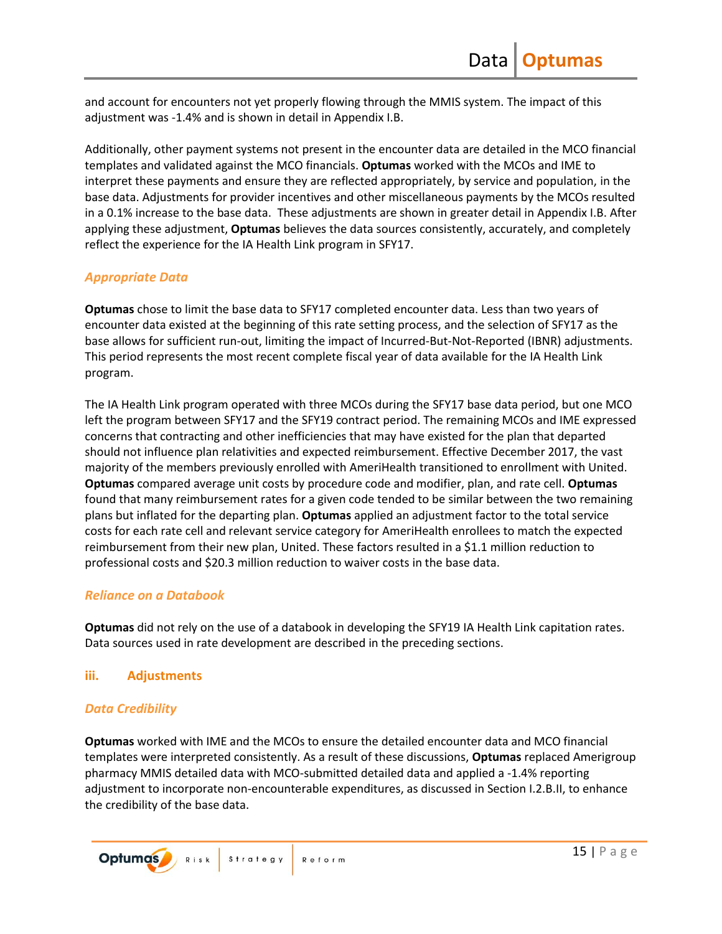and account for encounters not yet properly flowing through the MMIS system. The impact of this adjustment was -1.4% and is shown in detail in Appendix I.B.

Additionally, other payment systems not present in the encounter data are detailed in the MCO financial templates and validated against the MCO financials. **Optumas** worked with the MCOs and IME to interpret these payments and ensure they are reflected appropriately, by service and population, in the base data. Adjustments for provider incentives and other miscellaneous payments by the MCOs resulted in a 0.1% increase to the base data. These adjustments are shown in greater detail in Appendix I.B. After applying these adjustment, **Optumas** believes the data sources consistently, accurately, and completely reflect the experience for the IA Health Link program in SFY17.

### *Appropriate Data*

**Optumas** chose to limit the base data to SFY17 completed encounter data. Less than two years of encounter data existed at the beginning of this rate setting process, and the selection of SFY17 as the base allows for sufficient run-out, limiting the impact of Incurred-But-Not-Reported (IBNR) adjustments. This period represents the most recent complete fiscal year of data available for the IA Health Link program.

The IA Health Link program operated with three MCOs during the SFY17 base data period, but one MCO left the program between SFY17 and the SFY19 contract period. The remaining MCOs and IME expressed concerns that contracting and other inefficiencies that may have existed for the plan that departed should not influence plan relativities and expected reimbursement. Effective December 2017, the vast majority of the members previously enrolled with AmeriHealth transitioned to enrollment with United. **Optumas** compared average unit costs by procedure code and modifier, plan, and rate cell. **Optumas** found that many reimbursement rates for a given code tended to be similar between the two remaining plans but inflated for the departing plan. **Optumas** applied an adjustment factor to the total service costs for each rate cell and relevant service category for AmeriHealth enrollees to match the expected reimbursement from their new plan, United. These factors resulted in a \$1.1 million reduction to professional costs and \$20.3 million reduction to waiver costs in the base data.

### *Reliance on a Databook*

**Optumas** did not rely on the use of a databook in developing the SFY19 IA Health Link capitation rates. Data sources used in rate development are described in the preceding sections.

### <span id="page-16-0"></span>**iii. Adjustments**

### *Data Credibility*

**Optumas** worked with IME and the MCOs to ensure the detailed encounter data and MCO financial templates were interpreted consistently. As a result of these discussions, **Optumas** replaced Amerigroup pharmacy MMIS detailed data with MCO-submitted detailed data and applied a -1.4% reporting adjustment to incorporate non-encounterable expenditures, as discussed in Section I.2.B.II, to enhance the credibility of the base data.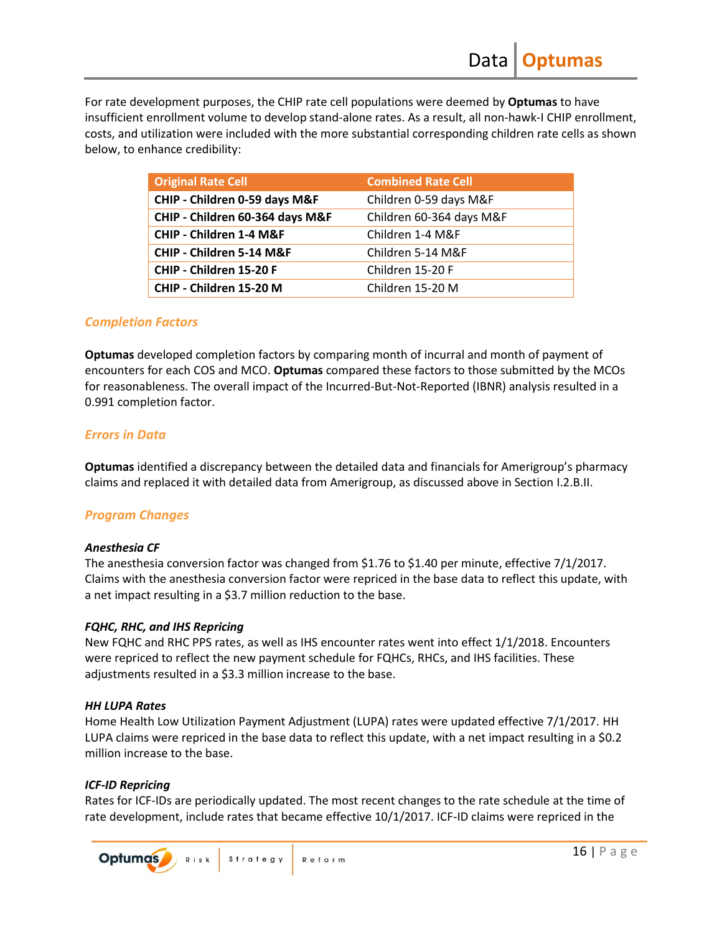For rate development purposes, the CHIP rate cell populations were deemed by **Optumas** to have insufficient enrollment volume to develop stand-alone rates. As a result, all non-hawk-I CHIP enrollment, costs, and utilization were included with the more substantial corresponding children rate cells as shown below, to enhance credibility:

| <b>Original Rate Cell</b>       | <b>Combined Rate Cell</b> |
|---------------------------------|---------------------------|
| CHIP - Children 0-59 days M&F   | Children 0-59 days M&F    |
| CHIP - Children 60-364 days M&F | Children 60-364 days M&F  |
| CHIP - Children 1-4 M&F         | Children 1-4 M&F          |
| CHIP - Children 5-14 M&F        | Children 5-14 M&F         |
| CHIP - Children 15-20 F         | Children 15-20 F          |
| CHIP - Children 15-20 M         | Children 15-20 M          |

### *Completion Factors*

**Optumas** developed completion factors by comparing month of incurral and month of payment of encounters for each COS and MCO. **Optumas** compared these factors to those submitted by the MCOs for reasonableness. The overall impact of the Incurred-But-Not-Reported (IBNR) analysis resulted in a 0.991 completion factor.

### *Errors in Data*

**Optumas** identified a discrepancy between the detailed data and financials for Amerigroup's pharmacy claims and replaced it with detailed data from Amerigroup, as discussed above in Section I.2.B.II.

### *Program Changes*

#### *Anesthesia CF*

The anesthesia conversion factor was changed from \$1.76 to \$1.40 per minute, effective 7/1/2017. Claims with the anesthesia conversion factor were repriced in the base data to reflect this update, with a net impact resulting in a \$3.7 million reduction to the base.

### *FQHC, RHC, and IHS Repricing*

New FQHC and RHC PPS rates, as well as IHS encounter rates went into effect 1/1/2018. Encounters were repriced to reflect the new payment schedule for FQHCs, RHCs, and IHS facilities. These adjustments resulted in a \$3.3 million increase to the base.

#### *HH LUPA Rates*

Home Health Low Utilization Payment Adjustment (LUPA) rates were updated effective 7/1/2017. HH LUPA claims were repriced in the base data to reflect this update, with a net impact resulting in a \$0.2 million increase to the base.

### *ICF-ID Repricing*

Rates for ICF-IDs are periodically updated. The most recent changes to the rate schedule at the time of rate development, include rates that became effective 10/1/2017. ICF-ID claims were repriced in the

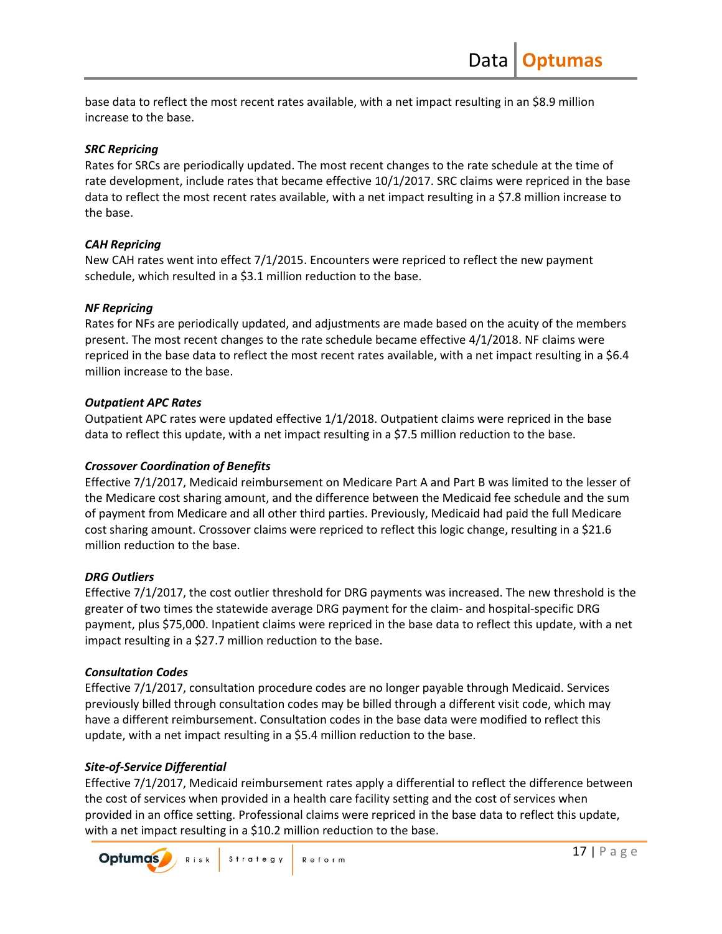base data to reflect the most recent rates available, with a net impact resulting in an \$8.9 million increase to the base.

### *SRC Repricing*

Rates for SRCs are periodically updated. The most recent changes to the rate schedule at the time of rate development, include rates that became effective 10/1/2017. SRC claims were repriced in the base data to reflect the most recent rates available, with a net impact resulting in a \$7.8 million increase to the base.

### *CAH Repricing*

New CAH rates went into effect 7/1/2015. Encounters were repriced to reflect the new payment schedule, which resulted in a \$3.1 million reduction to the base.

### *NF Repricing*

Rates for NFs are periodically updated, and adjustments are made based on the acuity of the members present. The most recent changes to the rate schedule became effective 4/1/2018. NF claims were repriced in the base data to reflect the most recent rates available, with a net impact resulting in a \$6.4 million increase to the base.

### *Outpatient APC Rates*

Outpatient APC rates were updated effective 1/1/2018. Outpatient claims were repriced in the base data to reflect this update, with a net impact resulting in a \$7.5 million reduction to the base.

### *Crossover Coordination of Benefits*

Effective 7/1/2017, Medicaid reimbursement on Medicare Part A and Part B was limited to the lesser of the Medicare cost sharing amount, and the difference between the Medicaid fee schedule and the sum of payment from Medicare and all other third parties. Previously, Medicaid had paid the full Medicare cost sharing amount. Crossover claims were repriced to reflect this logic change, resulting in a \$21.6 million reduction to the base.

### *DRG Outliers*

Effective 7/1/2017, the cost outlier threshold for DRG payments was increased. The new threshold is the greater of two times the statewide average DRG payment for the claim- and hospital-specific DRG payment, plus \$75,000. Inpatient claims were repriced in the base data to reflect this update, with a net impact resulting in a \$27.7 million reduction to the base.

### *Consultation Codes*

Effective 7/1/2017, consultation procedure codes are no longer payable through Medicaid. Services previously billed through consultation codes may be billed through a different visit code, which may have a different reimbursement. Consultation codes in the base data were modified to reflect this update, with a net impact resulting in a \$5.4 million reduction to the base.

### *Site-of-Service Differential*

Effective 7/1/2017, Medicaid reimbursement rates apply a differential to reflect the difference between the cost of services when provided in a health care facility setting and the cost of services when provided in an office setting. Professional claims were repriced in the base data to reflect this update, with a net impact resulting in a \$10.2 million reduction to the base.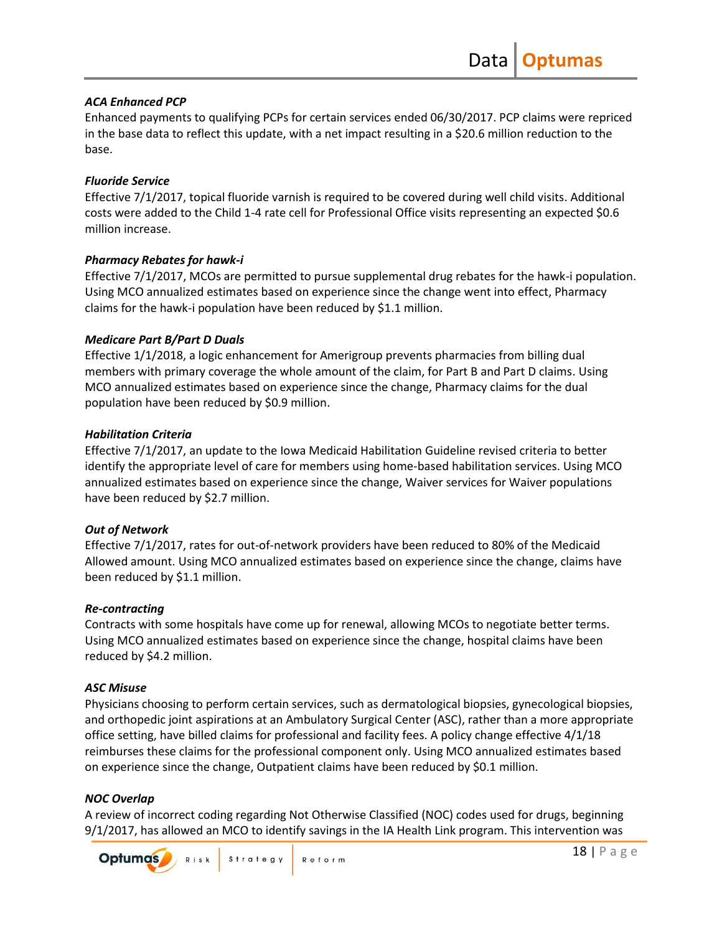### *ACA Enhanced PCP*

Enhanced payments to qualifying PCPs for certain services ended 06/30/2017. PCP claims were repriced in the base data to reflect this update, with a net impact resulting in a \$20.6 million reduction to the base.

### *Fluoride Service*

Effective 7/1/2017, topical fluoride varnish is required to be covered during well child visits. Additional costs were added to the Child 1-4 rate cell for Professional Office visits representing an expected \$0.6 million increase.

### *Pharmacy Rebates for hawk-i*

Effective 7/1/2017, MCOs are permitted to pursue supplemental drug rebates for the hawk-i population. Using MCO annualized estimates based on experience since the change went into effect, Pharmacy claims for the hawk-i population have been reduced by \$1.1 million.

### *Medicare Part B/Part D Duals*

Effective 1/1/2018, a logic enhancement for Amerigroup prevents pharmacies from billing dual members with primary coverage the whole amount of the claim, for Part B and Part D claims. Using MCO annualized estimates based on experience since the change, Pharmacy claims for the dual population have been reduced by \$0.9 million.

### *Habilitation Criteria*

Effective 7/1/2017, an update to the Iowa Medicaid Habilitation Guideline revised criteria to better identify the appropriate level of care for members using home-based habilitation services. Using MCO annualized estimates based on experience since the change, Waiver services for Waiver populations have been reduced by \$2.7 million.

### *Out of Network*

Effective 7/1/2017, rates for out-of-network providers have been reduced to 80% of the Medicaid Allowed amount. Using MCO annualized estimates based on experience since the change, claims have been reduced by \$1.1 million.

### *Re-contracting*

Contracts with some hospitals have come up for renewal, allowing MCOs to negotiate better terms. Using MCO annualized estimates based on experience since the change, hospital claims have been reduced by \$4.2 million.

### *ASC Misuse*

Physicians choosing to perform certain services, such as dermatological biopsies, gynecological biopsies, and orthopedic joint aspirations at an Ambulatory Surgical Center (ASC), rather than a more appropriate office setting, have billed claims for professional and facility fees. A policy change effective 4/1/18 reimburses these claims for the professional component only. Using MCO annualized estimates based on experience since the change, Outpatient claims have been reduced by \$0.1 million.

### *NOC Overlap*

A review of incorrect coding regarding Not Otherwise Classified (NOC) codes used for drugs, beginning 9/1/2017, has allowed an MCO to identify savings in the IA Health Link program. This intervention was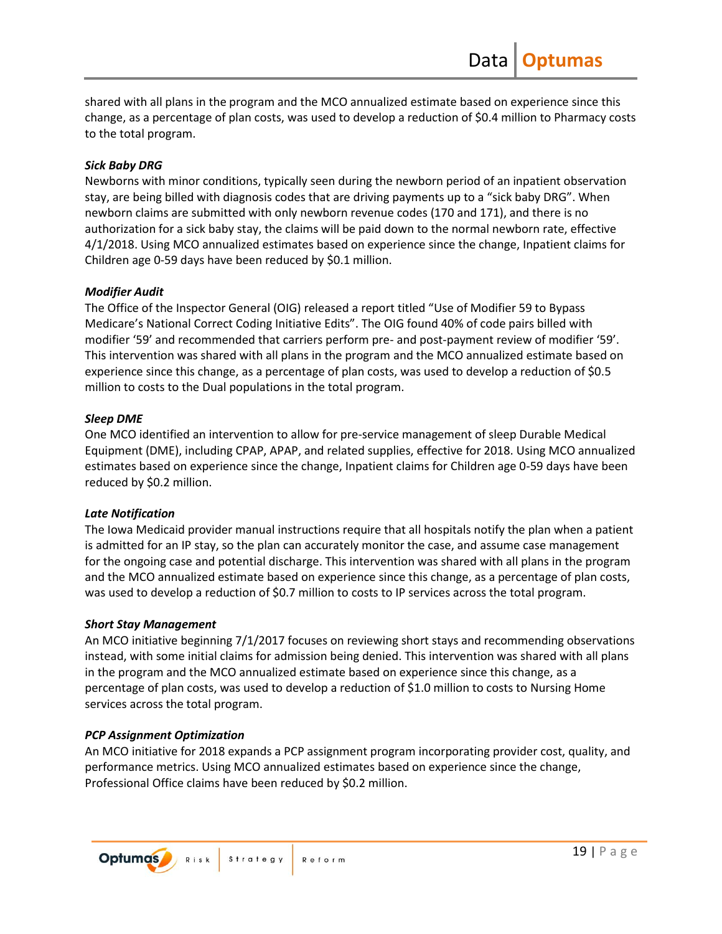shared with all plans in the program and the MCO annualized estimate based on experience since this change, as a percentage of plan costs, was used to develop a reduction of \$0.4 million to Pharmacy costs to the total program.

### *Sick Baby DRG*

Newborns with minor conditions, typically seen during the newborn period of an inpatient observation stay, are being billed with diagnosis codes that are driving payments up to a "sick baby DRG". When newborn claims are submitted with only newborn revenue codes (170 and 171), and there is no authorization for a sick baby stay, the claims will be paid down to the normal newborn rate, effective 4/1/2018. Using MCO annualized estimates based on experience since the change, Inpatient claims for Children age 0-59 days have been reduced by \$0.1 million.

### *Modifier Audit*

The Office of the Inspector General (OIG) released a report titled "Use of Modifier 59 to Bypass Medicare's National Correct Coding Initiative Edits". The OIG found 40% of code pairs billed with modifier '59' and recommended that carriers perform pre- and post-payment review of modifier '59'. This intervention was shared with all plans in the program and the MCO annualized estimate based on experience since this change, as a percentage of plan costs, was used to develop a reduction of \$0.5 million to costs to the Dual populations in the total program.

### *Sleep DME*

One MCO identified an intervention to allow for pre-service management of sleep Durable Medical Equipment (DME), including CPAP, APAP, and related supplies, effective for 2018. Using MCO annualized estimates based on experience since the change, Inpatient claims for Children age 0-59 days have been reduced by \$0.2 million.

#### *Late Notification*

The Iowa Medicaid provider manual instructions require that all hospitals notify the plan when a patient is admitted for an IP stay, so the plan can accurately monitor the case, and assume case management for the ongoing case and potential discharge. This intervention was shared with all plans in the program and the MCO annualized estimate based on experience since this change, as a percentage of plan costs, was used to develop a reduction of \$0.7 million to costs to IP services across the total program.

#### *Short Stay Management*

An MCO initiative beginning 7/1/2017 focuses on reviewing short stays and recommending observations instead, with some initial claims for admission being denied. This intervention was shared with all plans in the program and the MCO annualized estimate based on experience since this change, as a percentage of plan costs, was used to develop a reduction of \$1.0 million to costs to Nursing Home services across the total program.

### *PCP Assignment Optimization*

An MCO initiative for 2018 expands a PCP assignment program incorporating provider cost, quality, and performance metrics. Using MCO annualized estimates based on experience since the change, Professional Office claims have been reduced by \$0.2 million.

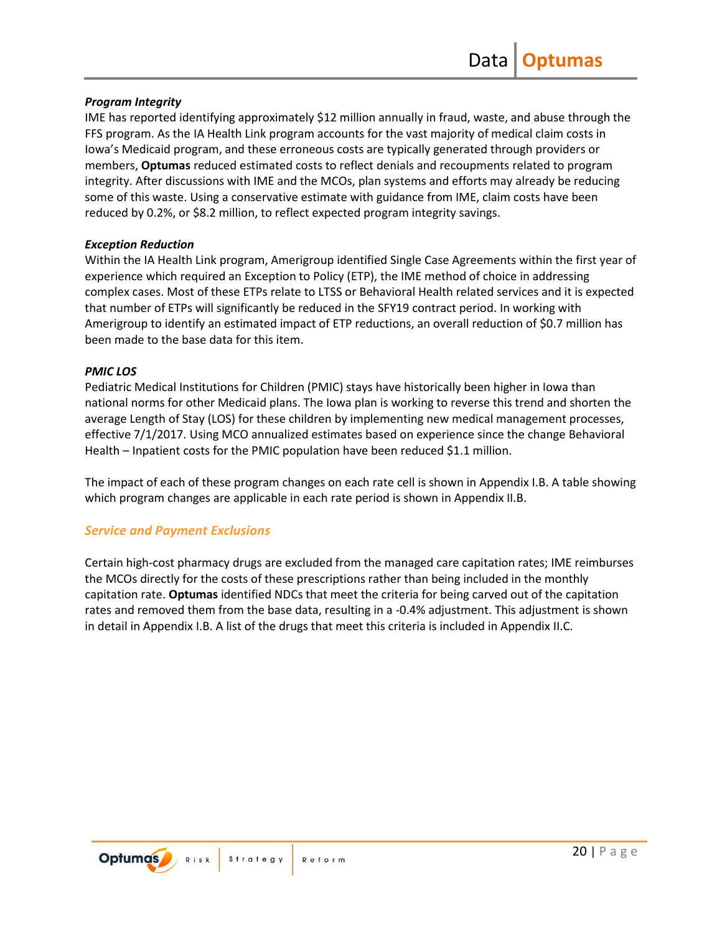### *Program Integrity*

IME has reported identifying approximately \$12 million annually in fraud, waste, and abuse through the FFS program. As the IA Health Link program accounts for the vast majority of medical claim costs in Iowa's Medicaid program, and these erroneous costs are typically generated through providers or members, **Optumas** reduced estimated costs to reflect denials and recoupments related to program integrity. After discussions with IME and the MCOs, plan systems and efforts may already be reducing some of this waste. Using a conservative estimate with guidance from IME, claim costs have been reduced by 0.2%, or \$8.2 million, to reflect expected program integrity savings.

### *Exception Reduction*

Within the IA Health Link program, Amerigroup identified Single Case Agreements within the first year of experience which required an Exception to Policy (ETP), the IME method of choice in addressing complex cases. Most of these ETPs relate to LTSS or Behavioral Health related services and it is expected that number of ETPs will significantly be reduced in the SFY19 contract period. In working with Amerigroup to identify an estimated impact of ETP reductions, an overall reduction of \$0.7 million has been made to the base data for this item.

### *PMIC LOS*

Pediatric Medical Institutions for Children (PMIC) stays have historically been higher in Iowa than national norms for other Medicaid plans. The Iowa plan is working to reverse this trend and shorten the average Length of Stay (LOS) for these children by implementing new medical management processes, effective 7/1/2017. Using MCO annualized estimates based on experience since the change Behavioral Health – Inpatient costs for the PMIC population have been reduced \$1.1 million.

The impact of each of these program changes on each rate cell is shown in Appendix I.B. A table showing which program changes are applicable in each rate period is shown in Appendix II.B.

### *Service and Payment Exclusions*

Certain high-cost pharmacy drugs are excluded from the managed care capitation rates; IME reimburses the MCOs directly for the costs of these prescriptions rather than being included in the monthly capitation rate. **Optumas** identified NDCs that meet the criteria for being carved out of the capitation rates and removed them from the base data, resulting in a -0.4% adjustment. This adjustment is shown in detail in Appendix I.B. A list of the drugs that meet this criteria is included in Appendix II.C.

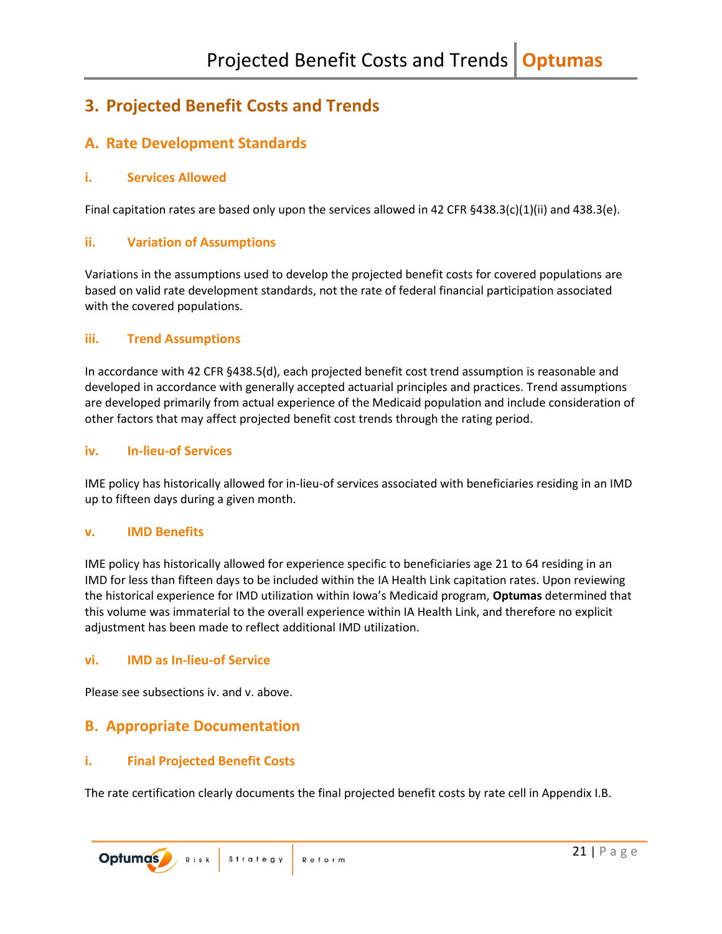## <span id="page-22-0"></span>**3. Projected Benefit Costs and Trends**

## <span id="page-22-1"></span>**A. Rate Development Standards**

### <span id="page-22-2"></span>**i. Services Allowed**

Final capitation rates are based only upon the services allowed in 42 CFR §438.3(c)(1)(ii) and 438.3(e).

### <span id="page-22-3"></span>**ii. Variation of Assumptions**

Variations in the assumptions used to develop the projected benefit costs for covered populations are based on valid rate development standards, not the rate of federal financial participation associated with the covered populations.

### <span id="page-22-4"></span>**iii. Trend Assumptions**

In accordance with 42 CFR §438.5(d), each projected benefit cost trend assumption is reasonable and developed in accordance with generally accepted actuarial principles and practices. Trend assumptions are developed primarily from actual experience of the Medicaid population and include consideration of other factors that may affect projected benefit cost trends through the rating period.

### <span id="page-22-5"></span>**iv. In-lieu-of Services**

IME policy has historically allowed for in-lieu-of services associated with beneficiaries residing in an IMD up to fifteen days during a given month.

### <span id="page-22-6"></span>**v. IMD Benefits**

IME policy has historically allowed for experience specific to beneficiaries age 21 to 64 residing in an IMD for less than fifteen days to be included within the IA Health Link capitation rates. Upon reviewing the historical experience for IMD utilization within Iowa's Medicaid program, **Optumas** determined that this volume was immaterial to the overall experience within IA Health Link, and therefore no explicit adjustment has been made to reflect additional IMD utilization.

### <span id="page-22-7"></span>**vi. IMD as In-lieu-of Service**

Please see subsections iv. and v. above.

### <span id="page-22-8"></span>**B. Appropriate Documentation**

### <span id="page-22-9"></span>**i. Final Projected Benefit Costs**

The rate certification clearly documents the final projected benefit costs by rate cell in Appendix I.B.

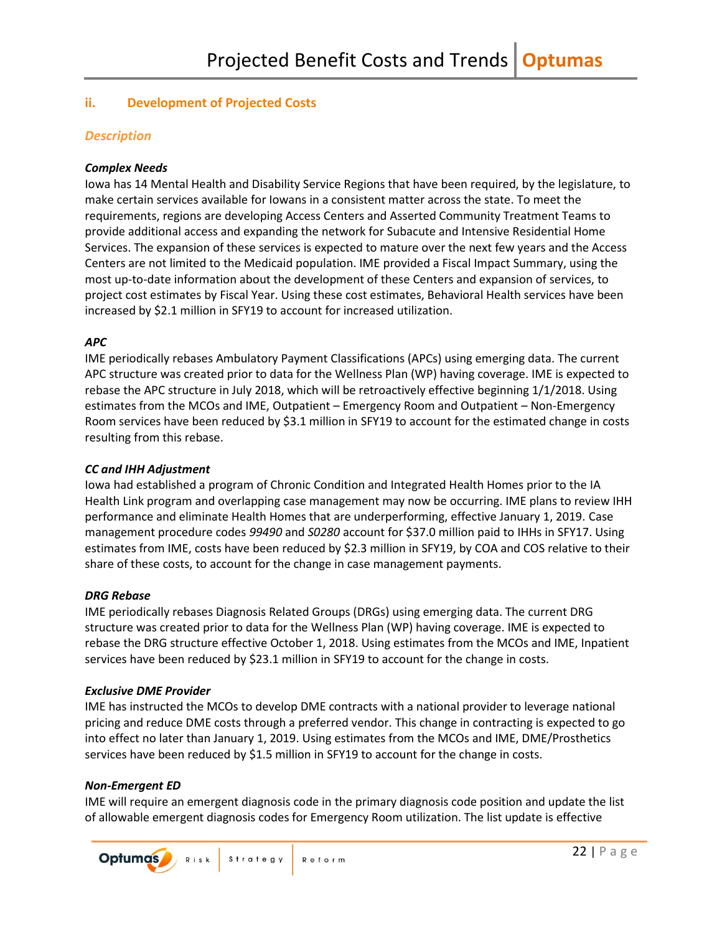### <span id="page-23-0"></span>**ii. Development of Projected Costs**

### *Description*

### *Complex Needs*

Iowa has 14 Mental Health and Disability Service Regions that have been required, by the legislature, to make certain services available for Iowans in a consistent matter across the state. To meet the requirements, regions are developing Access Centers and Asserted Community Treatment Teams to provide additional access and expanding the network for Subacute and Intensive Residential Home Services. The expansion of these services is expected to mature over the next few years and the Access Centers are not limited to the Medicaid population. IME provided a Fiscal Impact Summary, using the most up-to-date information about the development of these Centers and expansion of services, to project cost estimates by Fiscal Year. Using these cost estimates, Behavioral Health services have been increased by \$2.1 million in SFY19 to account for increased utilization.

### *APC*

IME periodically rebases Ambulatory Payment Classifications (APCs) using emerging data. The current APC structure was created prior to data for the Wellness Plan (WP) having coverage. IME is expected to rebase the APC structure in July 2018, which will be retroactively effective beginning 1/1/2018. Using estimates from the MCOs and IME, Outpatient – Emergency Room and Outpatient – Non-Emergency Room services have been reduced by \$3.1 million in SFY19 to account for the estimated change in costs resulting from this rebase.

#### *CC and IHH Adjustment*

Iowa had established a program of Chronic Condition and Integrated Health Homes prior to the IA Health Link program and overlapping case management may now be occurring. IME plans to review IHH performance and eliminate Health Homes that are underperforming, effective January 1, 2019. Case management procedure codes *99490* and *S0280* account for \$37.0 million paid to IHHs in SFY17. Using estimates from IME, costs have been reduced by \$2.3 million in SFY19, by COA and COS relative to their share of these costs, to account for the change in case management payments.

#### *DRG Rebase*

IME periodically rebases Diagnosis Related Groups (DRGs) using emerging data. The current DRG structure was created prior to data for the Wellness Plan (WP) having coverage. IME is expected to rebase the DRG structure effective October 1, 2018. Using estimates from the MCOs and IME, Inpatient services have been reduced by \$23.1 million in SFY19 to account for the change in costs.

#### *Exclusive DME Provider*

IME has instructed the MCOs to develop DME contracts with a national provider to leverage national pricing and reduce DME costs through a preferred vendor. This change in contracting is expected to go into effect no later than January 1, 2019. Using estimates from the MCOs and IME, DME/Prosthetics services have been reduced by \$1.5 million in SFY19 to account for the change in costs.

### *Non-Emergent ED*

IME will require an emergent diagnosis code in the primary diagnosis code position and update the list of allowable emergent diagnosis codes for Emergency Room utilization. The list update is effective

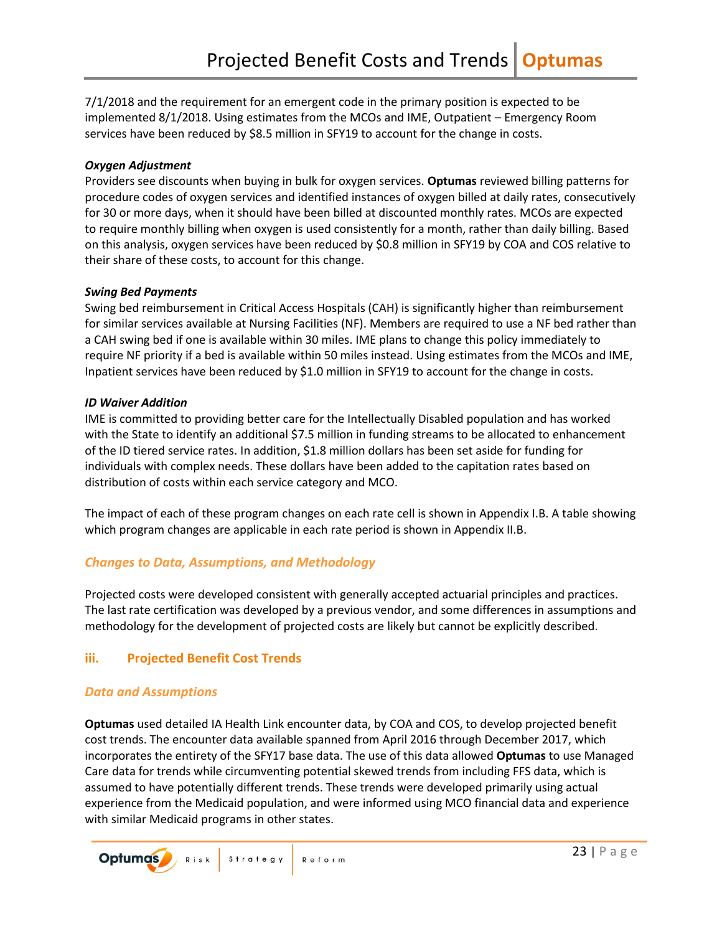7/1/2018 and the requirement for an emergent code in the primary position is expected to be implemented 8/1/2018. Using estimates from the MCOs and IME, Outpatient – Emergency Room services have been reduced by \$8.5 million in SFY19 to account for the change in costs.

### *Oxygen Adjustment*

Providers see discounts when buying in bulk for oxygen services. **Optumas** reviewed billing patterns for procedure codes of oxygen services and identified instances of oxygen billed at daily rates, consecutively for 30 or more days, when it should have been billed at discounted monthly rates. MCOs are expected to require monthly billing when oxygen is used consistently for a month, rather than daily billing. Based on this analysis, oxygen services have been reduced by \$0.8 million in SFY19 by COA and COS relative to their share of these costs, to account for this change.

### *Swing Bed Payments*

Swing bed reimbursement in Critical Access Hospitals (CAH) is significantly higher than reimbursement for similar services available at Nursing Facilities (NF). Members are required to use a NF bed rather than a CAH swing bed if one is available within 30 miles. IME plans to change this policy immediately to require NF priority if a bed is available within 50 miles instead. Using estimates from the MCOs and IME, Inpatient services have been reduced by \$1.0 million in SFY19 to account for the change in costs.

### *ID Waiver Addition*

IME is committed to providing better care for the Intellectually Disabled population and has worked with the State to identify an additional \$7.5 million in funding streams to be allocated to enhancement of the ID tiered service rates. In addition, \$1.8 million dollars has been set aside for funding for individuals with complex needs. These dollars have been added to the capitation rates based on distribution of costs within each service category and MCO.

The impact of each of these program changes on each rate cell is shown in Appendix I.B. A table showing which program changes are applicable in each rate period is shown in Appendix II.B.

### *Changes to Data, Assumptions, and Methodology*

Projected costs were developed consistent with generally accepted actuarial principles and practices. The last rate certification was developed by a previous vendor, and some differences in assumptions and methodology for the development of projected costs are likely but cannot be explicitly described.

### <span id="page-24-0"></span>**iii. Projected Benefit Cost Trends**

### *Data and Assumptions*

**Optumas** used detailed IA Health Link encounter data, by COA and COS, to develop projected benefit cost trends. The encounter data available spanned from April 2016 through December 2017, which incorporates the entirety of the SFY17 base data. The use of this data allowed **Optumas** to use Managed Care data for trends while circumventing potential skewed trends from including FFS data, which is assumed to have potentially different trends. These trends were developed primarily using actual experience from the Medicaid population, and were informed using MCO financial data and experience with similar Medicaid programs in other states.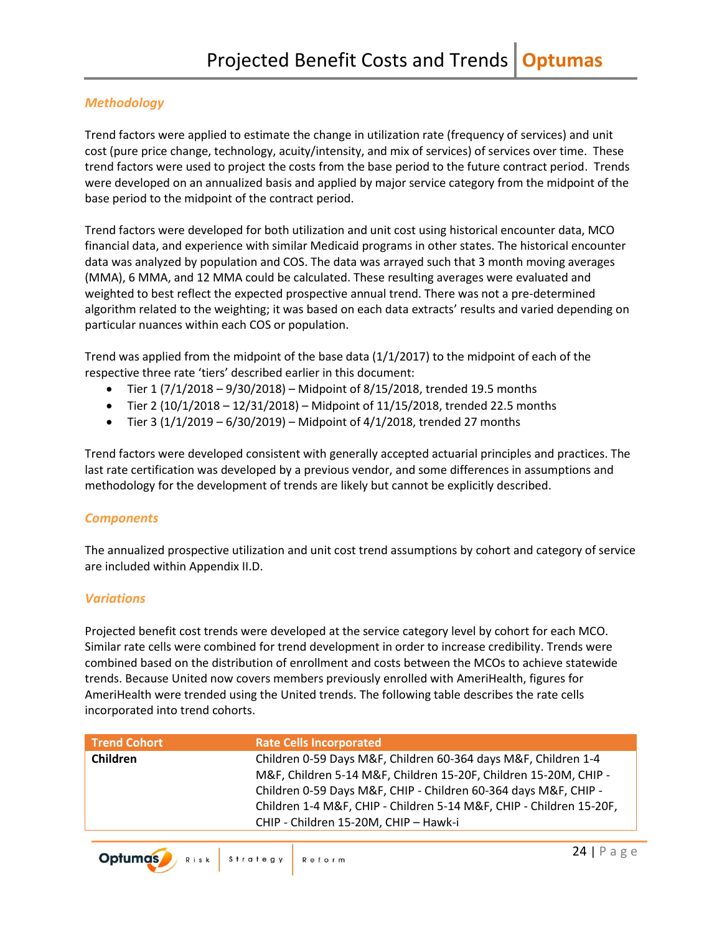### *Methodology*

Trend factors were applied to estimate the change in utilization rate (frequency of services) and unit cost (pure price change, technology, acuity/intensity, and mix of services) of services over time. These trend factors were used to project the costs from the base period to the future contract period. Trends were developed on an annualized basis and applied by major service category from the midpoint of the base period to the midpoint of the contract period.

Trend factors were developed for both utilization and unit cost using historical encounter data, MCO financial data, and experience with similar Medicaid programs in other states. The historical encounter data was analyzed by population and COS. The data was arrayed such that 3 month moving averages (MMA), 6 MMA, and 12 MMA could be calculated. These resulting averages were evaluated and weighted to best reflect the expected prospective annual trend. There was not a pre-determined algorithm related to the weighting; it was based on each data extracts' results and varied depending on particular nuances within each COS or population.

Trend was applied from the midpoint of the base data  $(1/1/2017)$  to the midpoint of each of the respective three rate 'tiers' described earlier in this document:

- Tier 1 (7/1/2018 9/30/2018) Midpoint of 8/15/2018, trended 19.5 months
- Tier 2 (10/1/2018 12/31/2018) Midpoint of 11/15/2018, trended 22.5 months
- Tier 3 (1/1/2019 6/30/2019) Midpoint of 4/1/2018, trended 27 months

Trend factors were developed consistent with generally accepted actuarial principles and practices. The last rate certification was developed by a previous vendor, and some differences in assumptions and methodology for the development of trends are likely but cannot be explicitly described.

### *Components*

The annualized prospective utilization and unit cost trend assumptions by cohort and category of service are included within Appendix II.D.

### *Variations*

Projected benefit cost trends were developed at the service category level by cohort for each MCO. Similar rate cells were combined for trend development in order to increase credibility. Trends were combined based on the distribution of enrollment and costs between the MCOs to achieve statewide trends. Because United now covers members previously enrolled with AmeriHealth, figures for AmeriHealth were trended using the United trends. The following table describes the rate cells incorporated into trend cohorts.

| <b>Trend Cohort</b> | <b>Rate Cells Incorporated</b>                                      |
|---------------------|---------------------------------------------------------------------|
| Children            | Children 0-59 Days M&F, Children 60-364 days M&F, Children 1-4      |
|                     | M&F, Children 5-14 M&F, Children 15-20F, Children 15-20M, CHIP -    |
|                     | Children 0-59 Days M&F, CHIP - Children 60-364 days M&F, CHIP -     |
|                     | Children 1-4 M&F, CHIP - Children 5-14 M&F, CHIP - Children 15-20F, |
|                     | CHIP - Children 15-20M, CHIP - Hawk-i                               |
|                     |                                                                     |

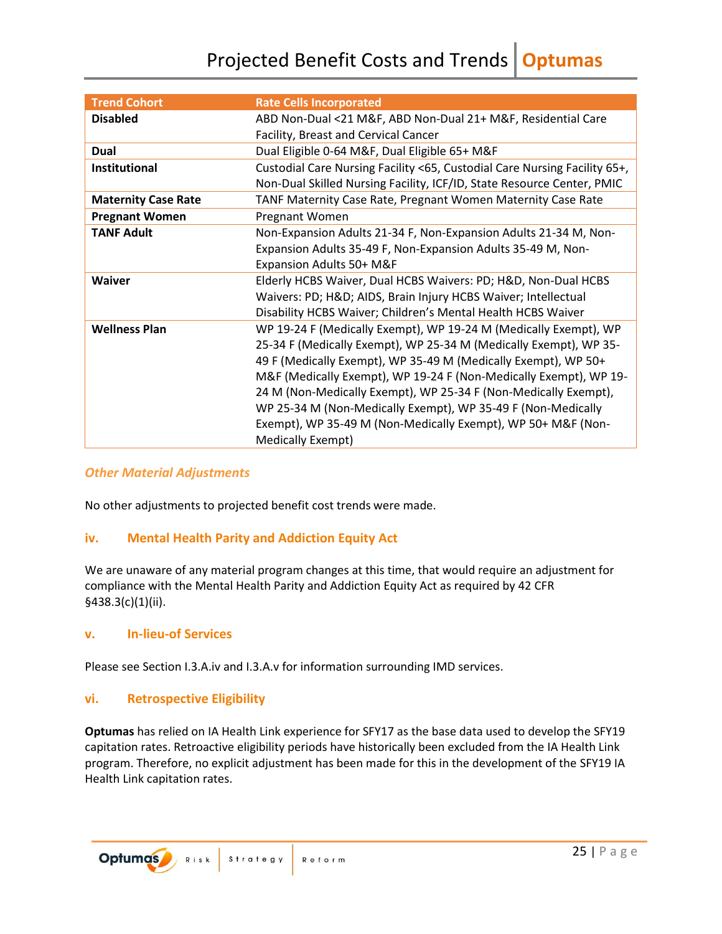| <b>Trend Cohort</b>        | <b>Rate Cells Incorporated</b>                                            |
|----------------------------|---------------------------------------------------------------------------|
| <b>Disabled</b>            | ABD Non-Dual <21 M&F, ABD Non-Dual 21+ M&F, Residential Care              |
|                            | Facility, Breast and Cervical Cancer                                      |
| Dual                       | Dual Eligible 0-64 M&F, Dual Eligible 65+ M&F                             |
| <b>Institutional</b>       | Custodial Care Nursing Facility <65, Custodial Care Nursing Facility 65+, |
|                            | Non-Dual Skilled Nursing Facility, ICF/ID, State Resource Center, PMIC    |
| <b>Maternity Case Rate</b> | TANF Maternity Case Rate, Pregnant Women Maternity Case Rate              |
| <b>Pregnant Women</b>      | Pregnant Women                                                            |
| <b>TANF Adult</b>          | Non-Expansion Adults 21-34 F, Non-Expansion Adults 21-34 M, Non-          |
|                            | Expansion Adults 35-49 F, Non-Expansion Adults 35-49 M, Non-              |
|                            | Expansion Adults 50+ M&F                                                  |
| <b>Waiver</b>              | Elderly HCBS Waiver, Dual HCBS Waivers: PD; H&D, Non-Dual HCBS            |
|                            | Waivers: PD; H&D AIDS, Brain Injury HCBS Waiver; Intellectual             |
|                            | Disability HCBS Waiver; Children's Mental Health HCBS Waiver              |
| <b>Wellness Plan</b>       | WP 19-24 F (Medically Exempt), WP 19-24 M (Medically Exempt), WP          |
|                            | 25-34 F (Medically Exempt), WP 25-34 M (Medically Exempt), WP 35-         |
|                            | 49 F (Medically Exempt), WP 35-49 M (Medically Exempt), WP 50+            |
|                            | M&F (Medically Exempt), WP 19-24 F (Non-Medically Exempt), WP 19-         |
|                            | 24 M (Non-Medically Exempt), WP 25-34 F (Non-Medically Exempt),           |
|                            | WP 25-34 M (Non-Medically Exempt), WP 35-49 F (Non-Medically              |
|                            | Exempt), WP 35-49 M (Non-Medically Exempt), WP 50+ M&F (Non-              |
|                            | Medically Exempt)                                                         |

### *Other Material Adjustments*

No other adjustments to projected benefit cost trends were made.

### <span id="page-26-0"></span>**iv. Mental Health Parity and Addiction Equity Act**

We are unaware of any material program changes at this time, that would require an adjustment for compliance with the Mental Health Parity and Addiction Equity Act as required by 42 CFR §438.3(c)(1)(ii).

### <span id="page-26-1"></span>**v. In-lieu-of Services**

Please see Section I.3.A.iv and I.3.A.v for information surrounding IMD services.

### <span id="page-26-2"></span>**vi. Retrospective Eligibility**

**Optumas** has relied on IA Health Link experience for SFY17 as the base data used to develop the SFY19 capitation rates. Retroactive eligibility periods have historically been excluded from the IA Health Link program. Therefore, no explicit adjustment has been made for this in the development of the SFY19 IA Health Link capitation rates.

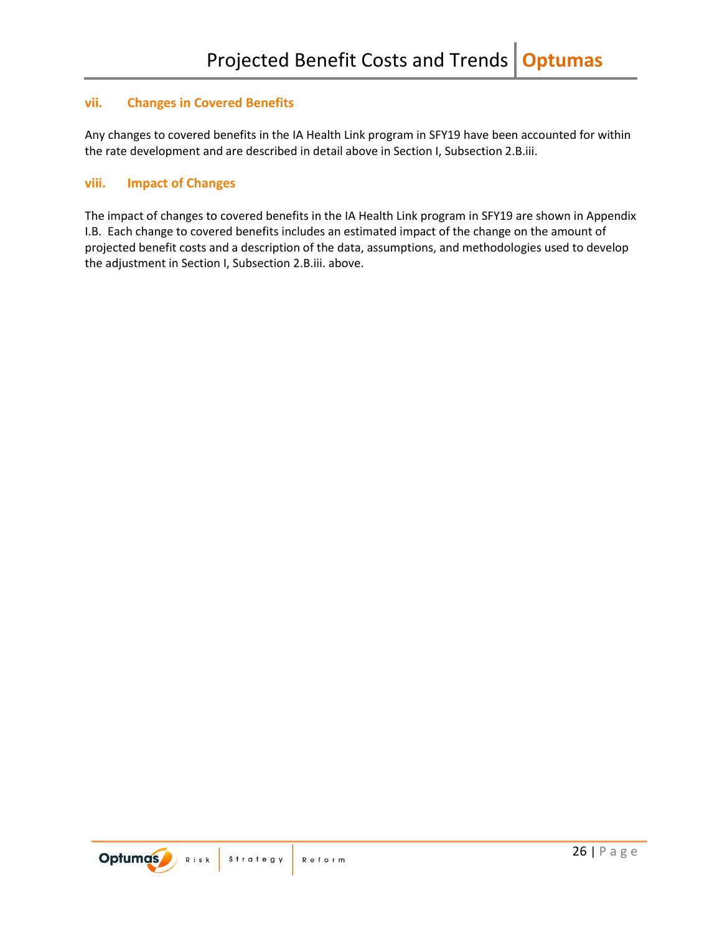### <span id="page-27-0"></span>**vii. Changes in Covered Benefits**

Any changes to covered benefits in the IA Health Link program in SFY19 have been accounted for within the rate development and are described in detail above in Section I, Subsection 2.B.iii.

### <span id="page-27-1"></span>**viii. Impact of Changes**

The impact of changes to covered benefits in the IA Health Link program in SFY19 are shown in Appendix I.B. Each change to covered benefits includes an estimated impact of the change on the amount of projected benefit costs and a description of the data, assumptions, and methodologies used to develop the adjustment in Section I, Subsection 2.B.iii. above.

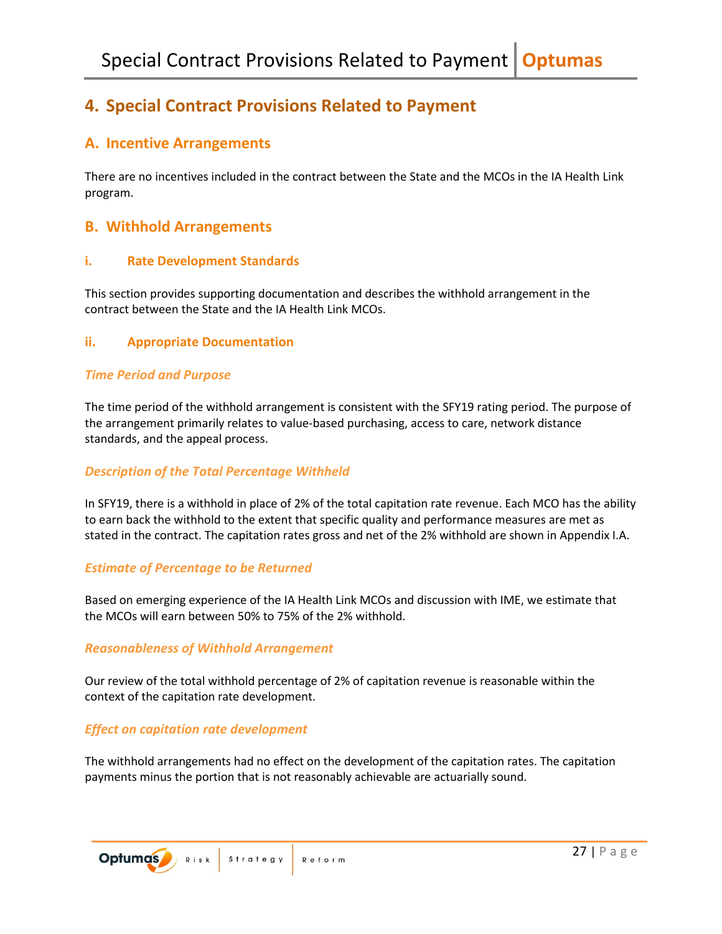## <span id="page-28-0"></span>**4. Special Contract Provisions Related to Payment**

### <span id="page-28-1"></span>**A. Incentive Arrangements**

There are no incentives included in the contract between the State and the MCOs in the IA Health Link program.

### <span id="page-28-2"></span>**B. Withhold Arrangements**

### <span id="page-28-3"></span>**i. Rate Development Standards**

This section provides supporting documentation and describes the withhold arrangement in the contract between the State and the IA Health Link MCOs.

### <span id="page-28-4"></span>**ii. Appropriate Documentation**

### *Time Period and Purpose*

The time period of the withhold arrangement is consistent with the SFY19 rating period. The purpose of the arrangement primarily relates to value-based purchasing, access to care, network distance standards, and the appeal process.

### *Description of the Total Percentage Withheld*

In SFY19, there is a withhold in place of 2% of the total capitation rate revenue. Each MCO has the ability to earn back the withhold to the extent that specific quality and performance measures are met as stated in the contract. The capitation rates gross and net of the 2% withhold are shown in Appendix I.A.

### *Estimate of Percentage to be Returned*

Based on emerging experience of the IA Health Link MCOs and discussion with IME, we estimate that the MCOs will earn between 50% to 75% of the 2% withhold.

### *Reasonableness of Withhold Arrangement*

Our review of the total withhold percentage of 2% of capitation revenue is reasonable within the context of the capitation rate development.

### *Effect on capitation rate development*

The withhold arrangements had no effect on the development of the capitation rates. The capitation payments minus the portion that is not reasonably achievable are actuarially sound.

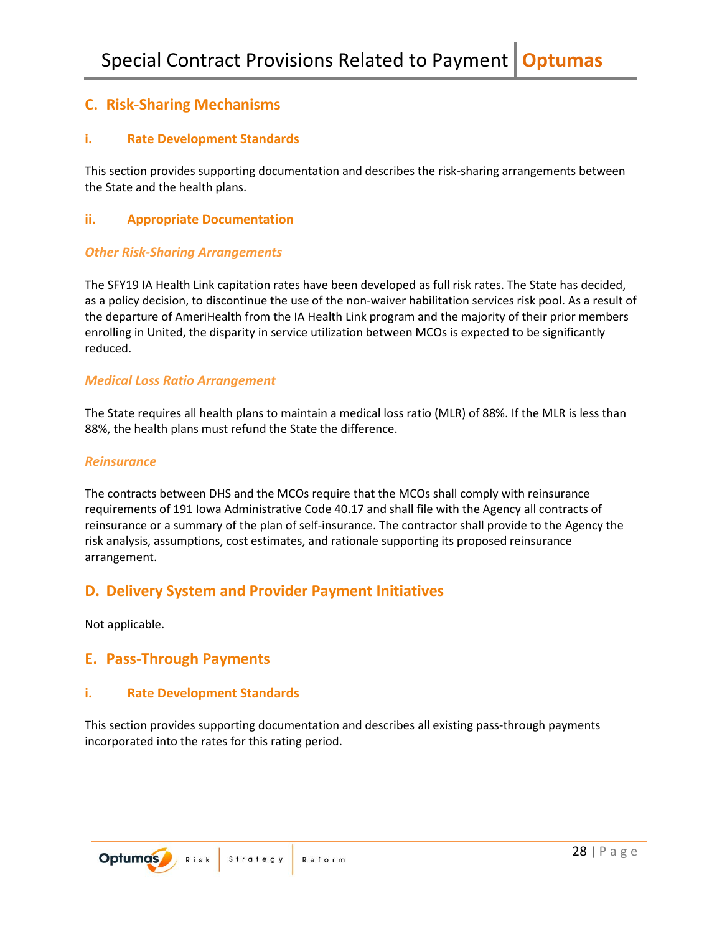## <span id="page-29-0"></span>**C. Risk-Sharing Mechanisms**

### <span id="page-29-1"></span>**i. Rate Development Standards**

This section provides supporting documentation and describes the risk-sharing arrangements between the State and the health plans.

### <span id="page-29-2"></span>**ii. Appropriate Documentation**

### *Other Risk-Sharing Arrangements*

The SFY19 IA Health Link capitation rates have been developed as full risk rates. The State has decided, as a policy decision, to discontinue the use of the non-waiver habilitation services risk pool. As a result of the departure of AmeriHealth from the IA Health Link program and the majority of their prior members enrolling in United, the disparity in service utilization between MCOs is expected to be significantly reduced.

### *Medical Loss Ratio Arrangement*

The State requires all health plans to maintain a medical loss ratio (MLR) of 88%. If the MLR is less than 88%, the health plans must refund the State the difference.

### *Reinsurance*

The contracts between DHS and the MCOs require that the MCOs shall comply with reinsurance requirements of 191 Iowa Administrative Code 40.17 and shall file with the Agency all contracts of reinsurance or a summary of the plan of self-insurance. The contractor shall provide to the Agency the risk analysis, assumptions, cost estimates, and rationale supporting its proposed reinsurance arrangement.

### <span id="page-29-3"></span>**D. Delivery System and Provider Payment Initiatives**

Not applicable.

### <span id="page-29-4"></span>**E. Pass-Through Payments**

### <span id="page-29-5"></span>**i. Rate Development Standards**

This section provides supporting documentation and describes all existing pass-through payments incorporated into the rates for this rating period.

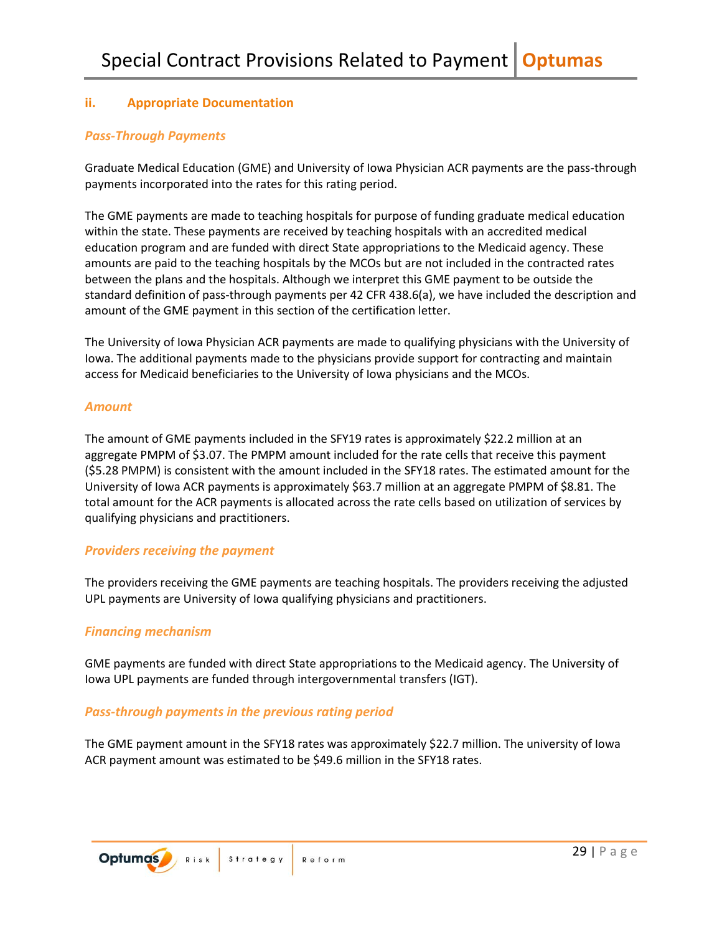### <span id="page-30-0"></span>**ii. Appropriate Documentation**

### *Pass-Through Payments*

Graduate Medical Education (GME) and University of Iowa Physician ACR payments are the pass-through payments incorporated into the rates for this rating period.

The GME payments are made to teaching hospitals for purpose of funding graduate medical education within the state. These payments are received by teaching hospitals with an accredited medical education program and are funded with direct State appropriations to the Medicaid agency. These amounts are paid to the teaching hospitals by the MCOs but are not included in the contracted rates between the plans and the hospitals. Although we interpret this GME payment to be outside the standard definition of pass-through payments per 42 CFR 438.6(a), we have included the description and amount of the GME payment in this section of the certification letter.

The University of Iowa Physician ACR payments are made to qualifying physicians with the University of Iowa. The additional payments made to the physicians provide support for contracting and maintain access for Medicaid beneficiaries to the University of Iowa physicians and the MCOs.

### *Amount*

The amount of GME payments included in the SFY19 rates is approximately \$22.2 million at an aggregate PMPM of \$3.07. The PMPM amount included for the rate cells that receive this payment (\$5.28 PMPM) is consistent with the amount included in the SFY18 rates. The estimated amount for the University of Iowa ACR payments is approximately \$63.7 million at an aggregate PMPM of \$8.81. The total amount for the ACR payments is allocated across the rate cells based on utilization of services by qualifying physicians and practitioners.

### *Providers receiving the payment*

The providers receiving the GME payments are teaching hospitals. The providers receiving the adjusted UPL payments are University of Iowa qualifying physicians and practitioners.

### *Financing mechanism*

GME payments are funded with direct State appropriations to the Medicaid agency. The University of Iowa UPL payments are funded through intergovernmental transfers (IGT).

### *Pass-through payments in the previous rating period*

The GME payment amount in the SFY18 rates was approximately \$22.7 million. The university of Iowa ACR payment amount was estimated to be \$49.6 million in the SFY18 rates.

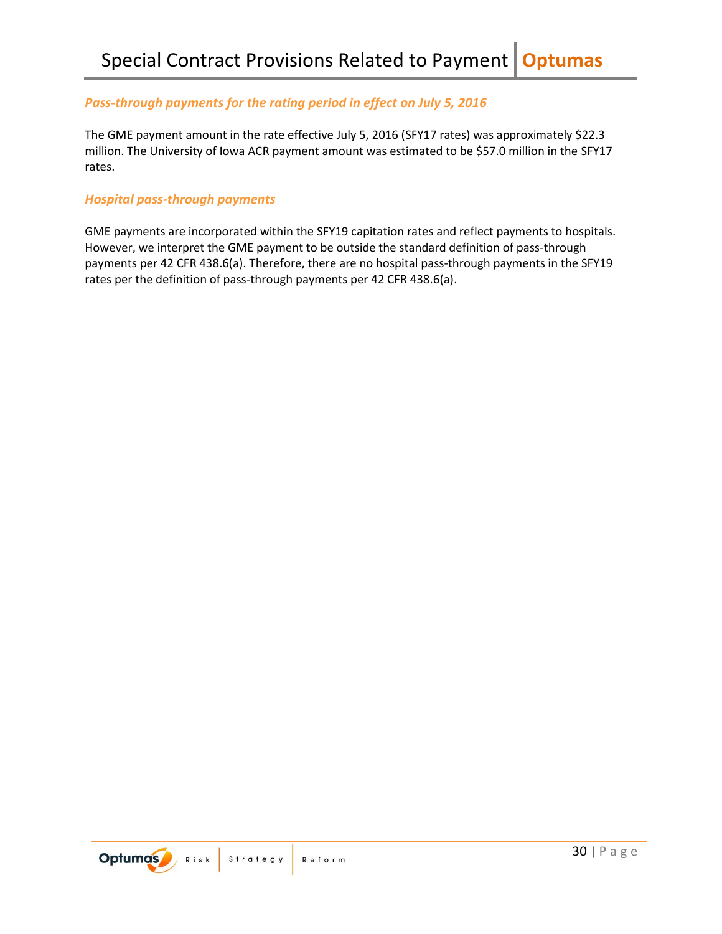### *Pass-through payments for the rating period in effect on July 5, 2016*

The GME payment amount in the rate effective July 5, 2016 (SFY17 rates) was approximately \$22.3 million. The University of Iowa ACR payment amount was estimated to be \$57.0 million in the SFY17 rates.

### *Hospital pass-through payments*

GME payments are incorporated within the SFY19 capitation rates and reflect payments to hospitals. However, we interpret the GME payment to be outside the standard definition of pass-through payments per 42 CFR 438.6(a). Therefore, there are no hospital pass-through payments in the SFY19 rates per the definition of pass-through payments per 42 CFR 438.6(a).

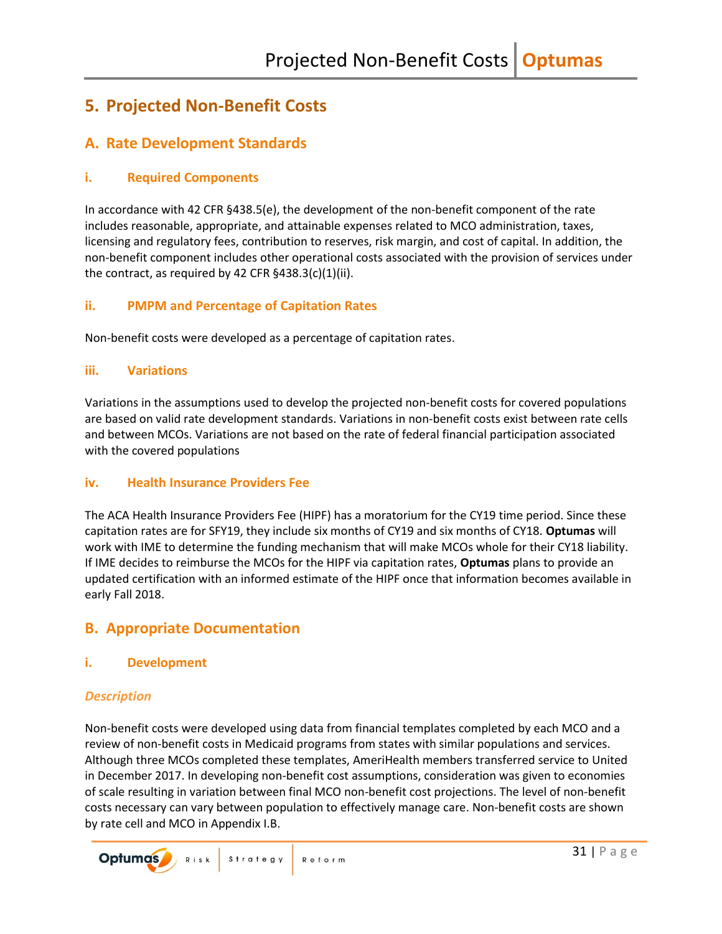## <span id="page-32-0"></span>**5. Projected Non-Benefit Costs**

## <span id="page-32-1"></span>**A. Rate Development Standards**

### <span id="page-32-2"></span>**i. Required Components**

In accordance with 42 CFR §438.5(e), the development of the non-benefit component of the rate includes reasonable, appropriate, and attainable expenses related to MCO administration, taxes, licensing and regulatory fees, contribution to reserves, risk margin, and cost of capital. In addition, the non-benefit component includes other operational costs associated with the provision of services under the contract, as required by 42 CFR  $§438.3(c)(1)(ii)$ .

### <span id="page-32-3"></span>**ii. PMPM and Percentage of Capitation Rates**

Non-benefit costs were developed as a percentage of capitation rates.

### <span id="page-32-4"></span>**iii. Variations**

Variations in the assumptions used to develop the projected non-benefit costs for covered populations are based on valid rate development standards. Variations in non-benefit costs exist between rate cells and between MCOs. Variations are not based on the rate of federal financial participation associated with the covered populations

### <span id="page-32-5"></span>**iv. Health Insurance Providers Fee**

The ACA Health Insurance Providers Fee (HIPF) has a moratorium for the CY19 time period. Since these capitation rates are for SFY19, they include six months of CY19 and six months of CY18. **Optumas** will work with IME to determine the funding mechanism that will make MCOs whole for their CY18 liability. If IME decides to reimburse the MCOs for the HIPF via capitation rates, **Optumas** plans to provide an updated certification with an informed estimate of the HIPF once that information becomes available in early Fall 2018.

## <span id="page-32-6"></span>**B. Appropriate Documentation**

### <span id="page-32-7"></span>**i. Development**

### *Description*

Non-benefit costs were developed using data from financial templates completed by each MCO and a review of non-benefit costs in Medicaid programs from states with similar populations and services. Although three MCOs completed these templates, AmeriHealth members transferred service to United in December 2017. In developing non-benefit cost assumptions, consideration was given to economies of scale resulting in variation between final MCO non-benefit cost projections. The level of non-benefit costs necessary can vary between population to effectively manage care. Non-benefit costs are shown by rate cell and MCO in Appendix I.B.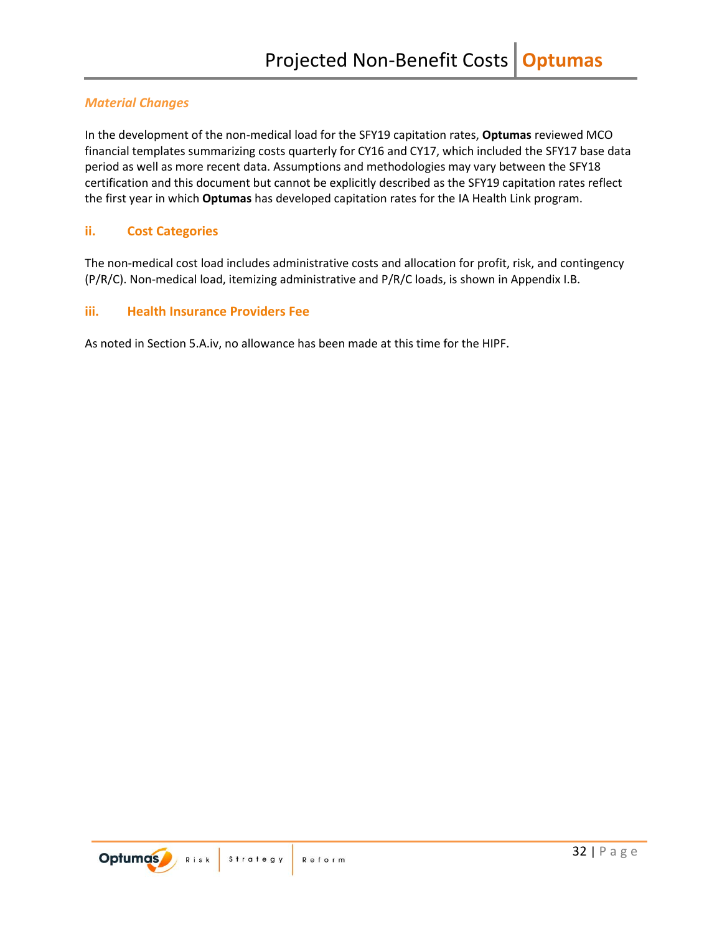### *Material Changes*

In the development of the non-medical load for the SFY19 capitation rates, **Optumas** reviewed MCO financial templates summarizing costs quarterly for CY16 and CY17, which included the SFY17 base data period as well as more recent data. Assumptions and methodologies may vary between the SFY18 certification and this document but cannot be explicitly described as the SFY19 capitation rates reflect the first year in which **Optumas** has developed capitation rates for the IA Health Link program.

### <span id="page-33-0"></span>**ii. Cost Categories**

The non-medical cost load includes administrative costs and allocation for profit, risk, and contingency (P/R/C). Non-medical load, itemizing administrative and P/R/C loads, is shown in Appendix I.B.

### <span id="page-33-1"></span>**iii. Health Insurance Providers Fee**

As noted in Section 5.A.iv, no allowance has been made at this time for the HIPF.

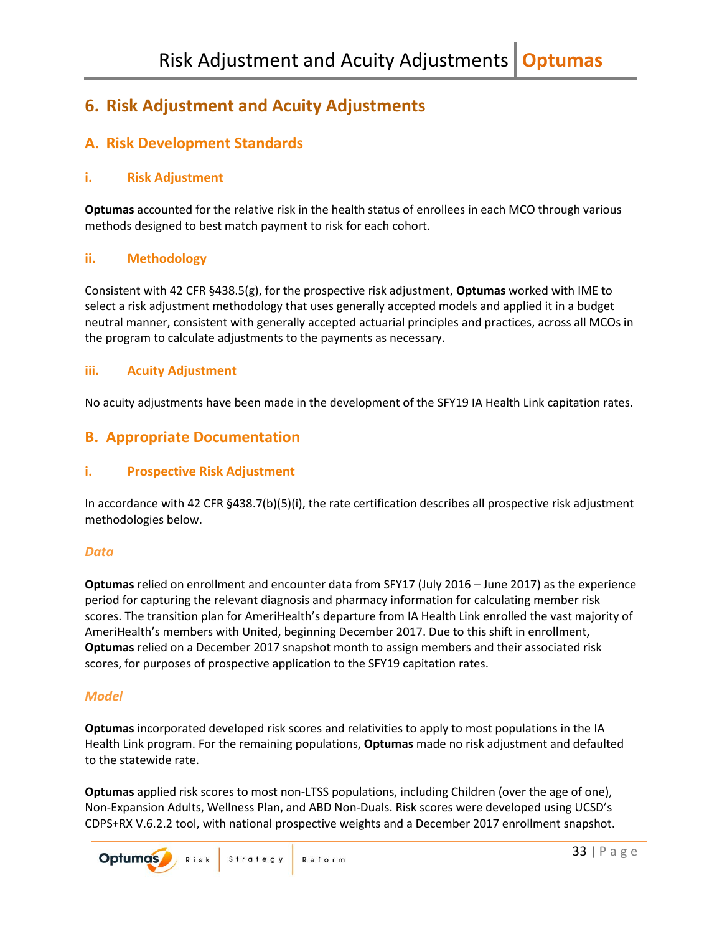## <span id="page-34-0"></span>**6. Risk Adjustment and Acuity Adjustments**

## <span id="page-34-1"></span>**A. Risk Development Standards**

### <span id="page-34-2"></span>**i. Risk Adjustment**

**Optumas** accounted for the relative risk in the health status of enrollees in each MCO through various methods designed to best match payment to risk for each cohort.

### <span id="page-34-3"></span>**ii. Methodology**

Consistent with 42 CFR §438.5(g), for the prospective risk adjustment, **Optumas** worked with IME to select a risk adjustment methodology that uses generally accepted models and applied it in a budget neutral manner, consistent with generally accepted actuarial principles and practices, across all MCOs in the program to calculate adjustments to the payments as necessary.

### <span id="page-34-4"></span>**iii. Acuity Adjustment**

No acuity adjustments have been made in the development of the SFY19 IA Health Link capitation rates.

### <span id="page-34-5"></span>**B. Appropriate Documentation**

### <span id="page-34-6"></span>**i. Prospective Risk Adjustment**

In accordance with 42 CFR §438.7(b)(5)(i), the rate certification describes all prospective risk adjustment methodologies below.

### *Data*

**Optumas** relied on enrollment and encounter data from SFY17 (July 2016 – June 2017) as the experience period for capturing the relevant diagnosis and pharmacy information for calculating member risk scores. The transition plan for AmeriHealth's departure from IA Health Link enrolled the vast majority of AmeriHealth's members with United, beginning December 2017. Due to this shift in enrollment, **Optumas** relied on a December 2017 snapshot month to assign members and their associated risk scores, for purposes of prospective application to the SFY19 capitation rates.

### *Model*

**Optumas** incorporated developed risk scores and relativities to apply to most populations in the IA Health Link program. For the remaining populations, **Optumas** made no risk adjustment and defaulted to the statewide rate.

**Optumas** applied risk scores to most non-LTSS populations, including Children (over the age of one), Non-Expansion Adults, Wellness Plan, and ABD Non-Duals. Risk scores were developed using UCSD's CDPS+RX V.6.2.2 tool, with national prospective weights and a December 2017 enrollment snapshot.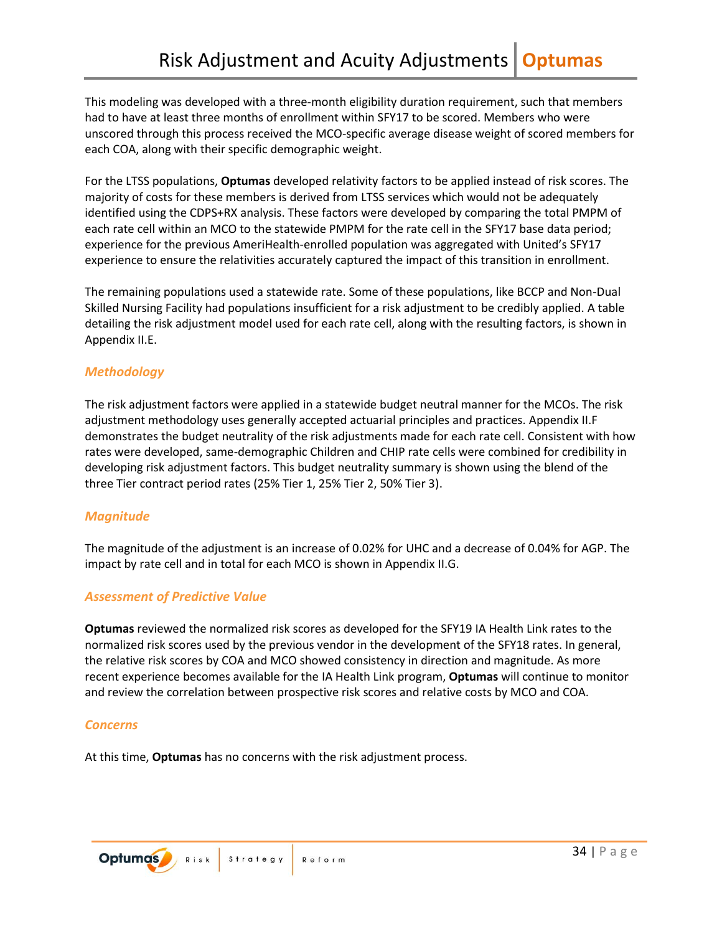This modeling was developed with a three-month eligibility duration requirement, such that members had to have at least three months of enrollment within SFY17 to be scored. Members who were unscored through this process received the MCO-specific average disease weight of scored members for each COA, along with their specific demographic weight.

For the LTSS populations, **Optumas** developed relativity factors to be applied instead of risk scores. The majority of costs for these members is derived from LTSS services which would not be adequately identified using the CDPS+RX analysis. These factors were developed by comparing the total PMPM of each rate cell within an MCO to the statewide PMPM for the rate cell in the SFY17 base data period; experience for the previous AmeriHealth-enrolled population was aggregated with United's SFY17 experience to ensure the relativities accurately captured the impact of this transition in enrollment.

The remaining populations used a statewide rate. Some of these populations, like BCCP and Non-Dual Skilled Nursing Facility had populations insufficient for a risk adjustment to be credibly applied. A table detailing the risk adjustment model used for each rate cell, along with the resulting factors, is shown in Appendix II.E.

### *Methodology*

The risk adjustment factors were applied in a statewide budget neutral manner for the MCOs. The risk adjustment methodology uses generally accepted actuarial principles and practices. Appendix II.F demonstrates the budget neutrality of the risk adjustments made for each rate cell. Consistent with how rates were developed, same-demographic Children and CHIP rate cells were combined for credibility in developing risk adjustment factors. This budget neutrality summary is shown using the blend of the three Tier contract period rates (25% Tier 1, 25% Tier 2, 50% Tier 3).

### *Magnitude*

The magnitude of the adjustment is an increase of 0.02% for UHC and a decrease of 0.04% for AGP. The impact by rate cell and in total for each MCO is shown in Appendix II.G.

### *Assessment of Predictive Value*

**Optumas** reviewed the normalized risk scores as developed for the SFY19 IA Health Link rates to the normalized risk scores used by the previous vendor in the development of the SFY18 rates. In general, the relative risk scores by COA and MCO showed consistency in direction and magnitude. As more recent experience becomes available for the IA Health Link program, **Optumas** will continue to monitor and review the correlation between prospective risk scores and relative costs by MCO and COA.

### *Concerns*

At this time, **Optumas** has no concerns with the risk adjustment process.

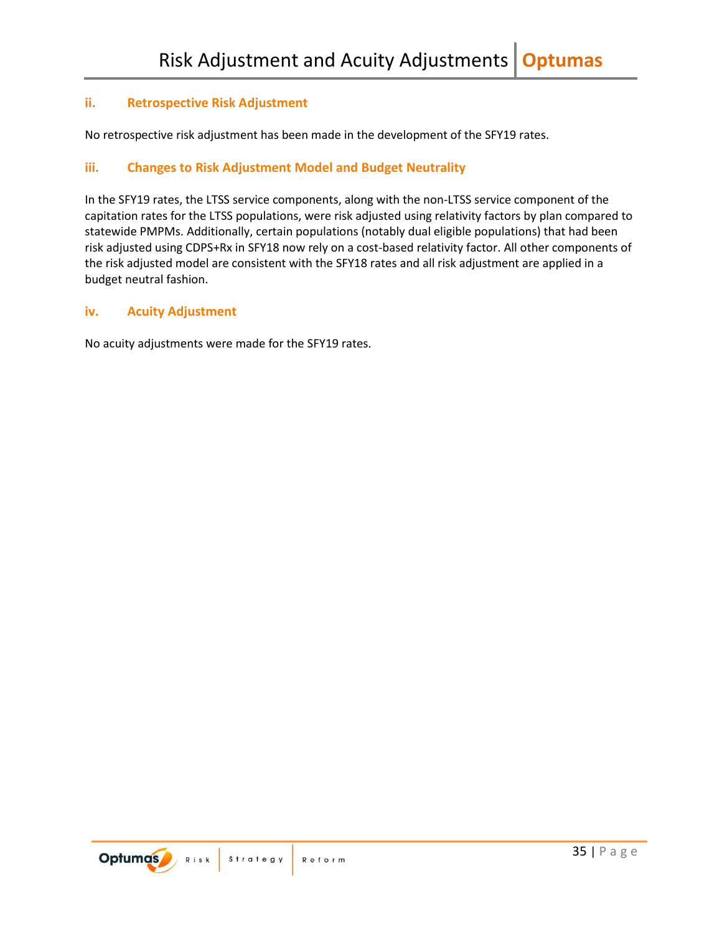### <span id="page-36-0"></span>**ii. Retrospective Risk Adjustment**

No retrospective risk adjustment has been made in the development of the SFY19 rates.

### <span id="page-36-1"></span>**iii. Changes to Risk Adjustment Model and Budget Neutrality**

In the SFY19 rates, the LTSS service components, along with the non-LTSS service component of the capitation rates for the LTSS populations, were risk adjusted using relativity factors by plan compared to statewide PMPMs. Additionally, certain populations (notably dual eligible populations) that had been risk adjusted using CDPS+Rx in SFY18 now rely on a cost-based relativity factor. All other components of the risk adjusted model are consistent with the SFY18 rates and all risk adjustment are applied in a budget neutral fashion.

### <span id="page-36-2"></span>**iv. Acuity Adjustment**

No acuity adjustments were made for the SFY19 rates.

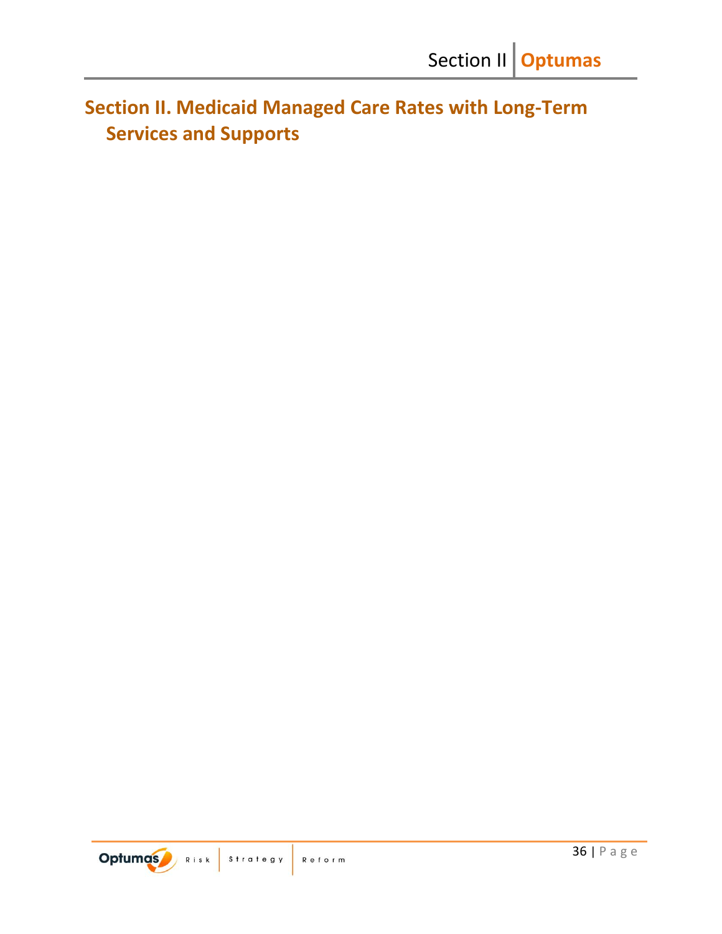<span id="page-37-0"></span>**Section II. Medicaid Managed Care Rates with Long-Term Services and Supports**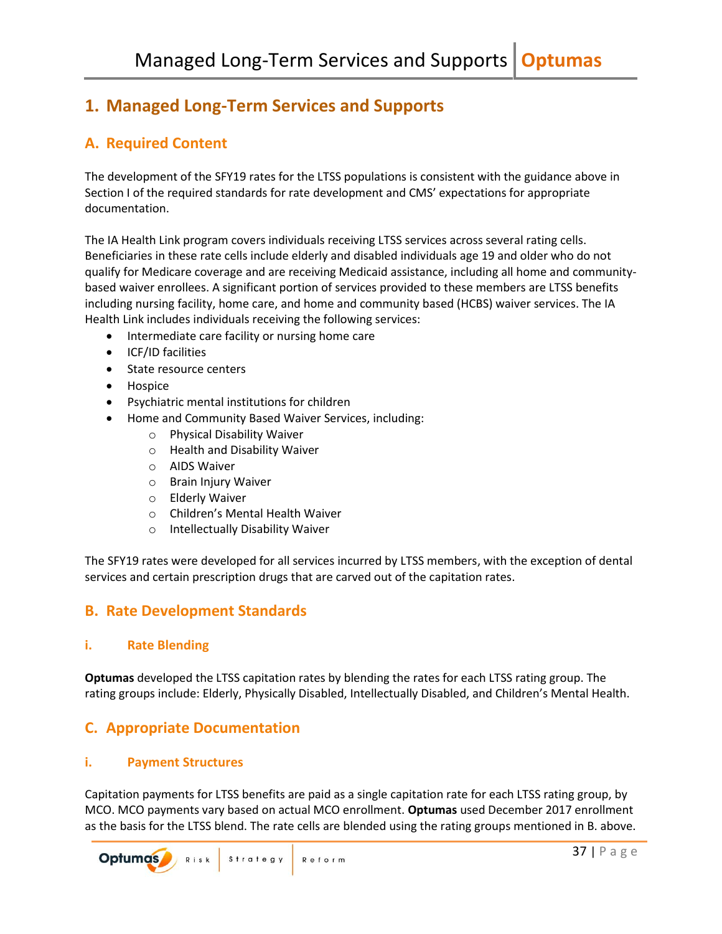## <span id="page-38-0"></span>**1. Managed Long-Term Services and Supports**

## <span id="page-38-1"></span>**A. Required Content**

The development of the SFY19 rates for the LTSS populations is consistent with the guidance above in Section I of the required standards for rate development and CMS' expectations for appropriate documentation.

The IA Health Link program covers individuals receiving LTSS services across several rating cells. Beneficiaries in these rate cells include elderly and disabled individuals age 19 and older who do not qualify for Medicare coverage and are receiving Medicaid assistance, including all home and communitybased waiver enrollees. A significant portion of services provided to these members are LTSS benefits including nursing facility, home care, and home and community based (HCBS) waiver services. The IA Health Link includes individuals receiving the following services:

- Intermediate care facility or nursing home care
- ICF/ID facilities
- State resource centers
- Hospice
- Psychiatric mental institutions for children
- Home and Community Based Waiver Services, including:
	- o Physical Disability Waiver
	- o Health and Disability Waiver
	- o AIDS Waiver
	- o Brain Injury Waiver
	- o Elderly Waiver
	- o Children's Mental Health Waiver
	- o Intellectually Disability Waiver

The SFY19 rates were developed for all services incurred by LTSS members, with the exception of dental services and certain prescription drugs that are carved out of the capitation rates.

## <span id="page-38-2"></span>**B. Rate Development Standards**

### <span id="page-38-3"></span>**i. Rate Blending**

**Optumas** developed the LTSS capitation rates by blending the rates for each LTSS rating group. The rating groups include: Elderly, Physically Disabled, Intellectually Disabled, and Children's Mental Health.

## <span id="page-38-4"></span>**C. Appropriate Documentation**

### <span id="page-38-5"></span>**i. Payment Structures**

Capitation payments for LTSS benefits are paid as a single capitation rate for each LTSS rating group, by MCO. MCO payments vary based on actual MCO enrollment. **Optumas** used December 2017 enrollment as the basis for the LTSS blend. The rate cells are blended using the rating groups mentioned in B. above.

**Optumas** Risk Strategy Reform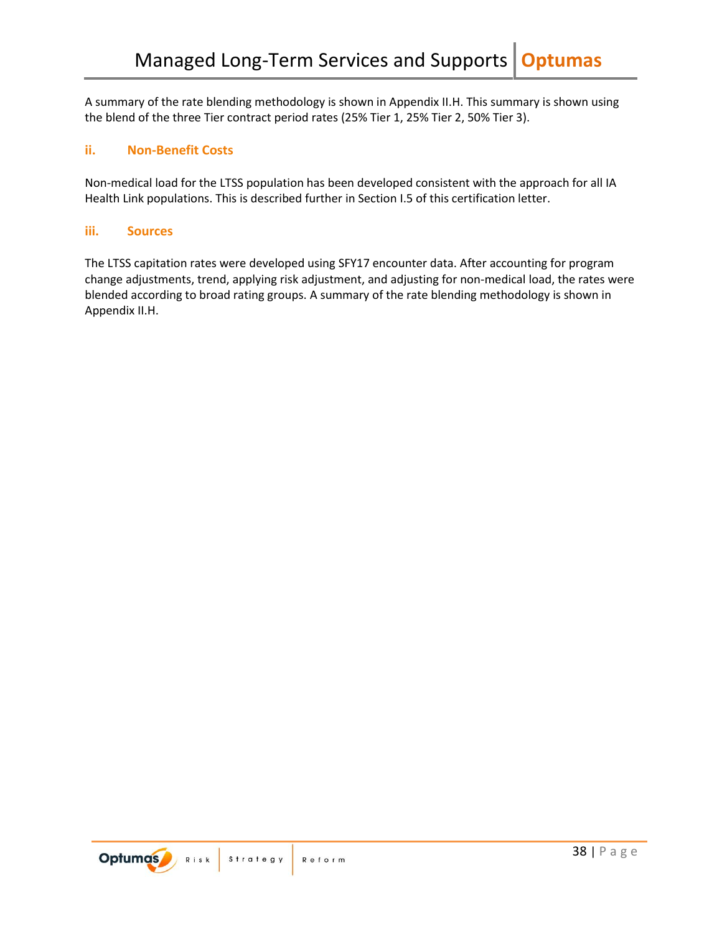A summary of the rate blending methodology is shown in Appendix II.H. This summary is shown using the blend of the three Tier contract period rates (25% Tier 1, 25% Tier 2, 50% Tier 3).

### <span id="page-39-0"></span>**ii. Non-Benefit Costs**

Non-medical load for the LTSS population has been developed consistent with the approach for all IA Health Link populations. This is described further in Section I.5 of this certification letter.

### <span id="page-39-1"></span>**iii. Sources**

The LTSS capitation rates were developed using SFY17 encounter data. After accounting for program change adjustments, trend, applying risk adjustment, and adjusting for non-medical load, the rates were blended according to broad rating groups. A summary of the rate blending methodology is shown in Appendix II.H.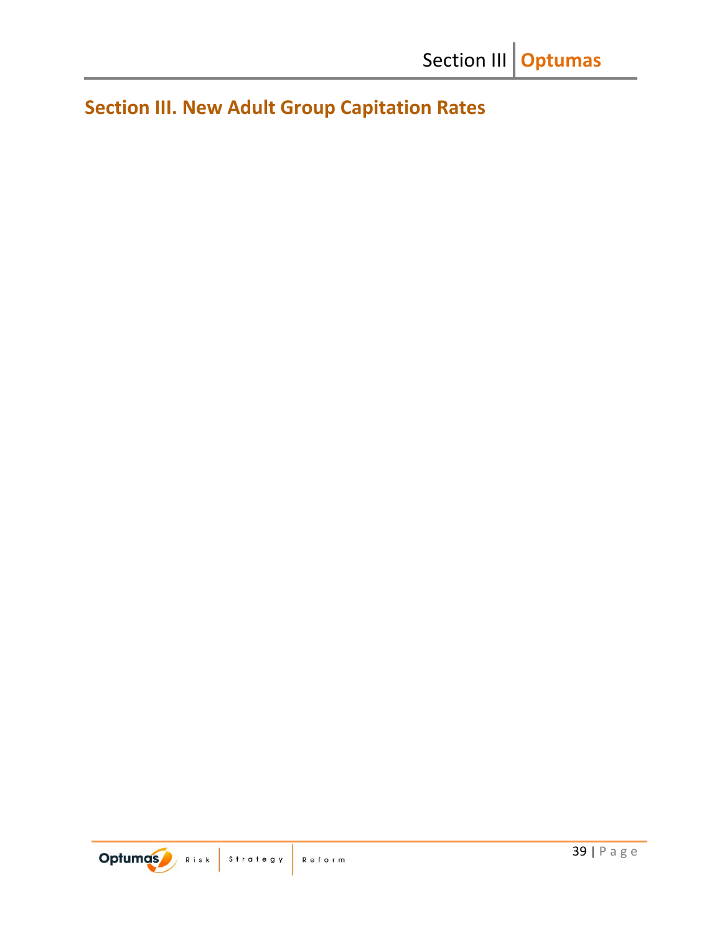<span id="page-40-0"></span>**Section III. New Adult Group Capitation Rates**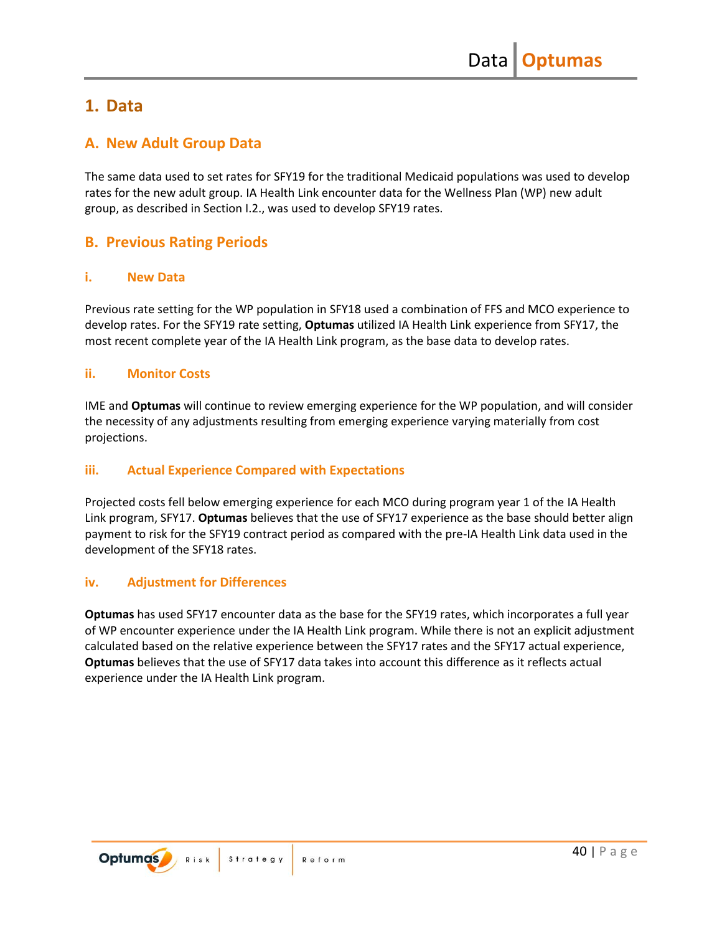## <span id="page-41-0"></span>**1. Data**

### <span id="page-41-1"></span>**A. New Adult Group Data**

The same data used to set rates for SFY19 for the traditional Medicaid populations was used to develop rates for the new adult group. IA Health Link encounter data for the Wellness Plan (WP) new adult group, as described in Section I.2., was used to develop SFY19 rates.

## <span id="page-41-2"></span>**B. Previous Rating Periods**

### <span id="page-41-3"></span>**i. New Data**

Previous rate setting for the WP population in SFY18 used a combination of FFS and MCO experience to develop rates. For the SFY19 rate setting, **Optumas** utilized IA Health Link experience from SFY17, the most recent complete year of the IA Health Link program, as the base data to develop rates.

### <span id="page-41-4"></span>**ii. Monitor Costs**

IME and **Optumas** will continue to review emerging experience for the WP population, and will consider the necessity of any adjustments resulting from emerging experience varying materially from cost projections.

### <span id="page-41-5"></span>**iii. Actual Experience Compared with Expectations**

Projected costs fell below emerging experience for each MCO during program year 1 of the IA Health Link program, SFY17. **Optumas** believes that the use of SFY17 experience as the base should better align payment to risk for the SFY19 contract period as compared with the pre-IA Health Link data used in the development of the SFY18 rates.

### <span id="page-41-6"></span>**iv. Adjustment for Differences**

**Optumas** has used SFY17 encounter data as the base for the SFY19 rates, which incorporates a full year of WP encounter experience under the IA Health Link program. While there is not an explicit adjustment calculated based on the relative experience between the SFY17 rates and the SFY17 actual experience, **Optumas** believes that the use of SFY17 data takes into account this difference as it reflects actual experience under the IA Health Link program.

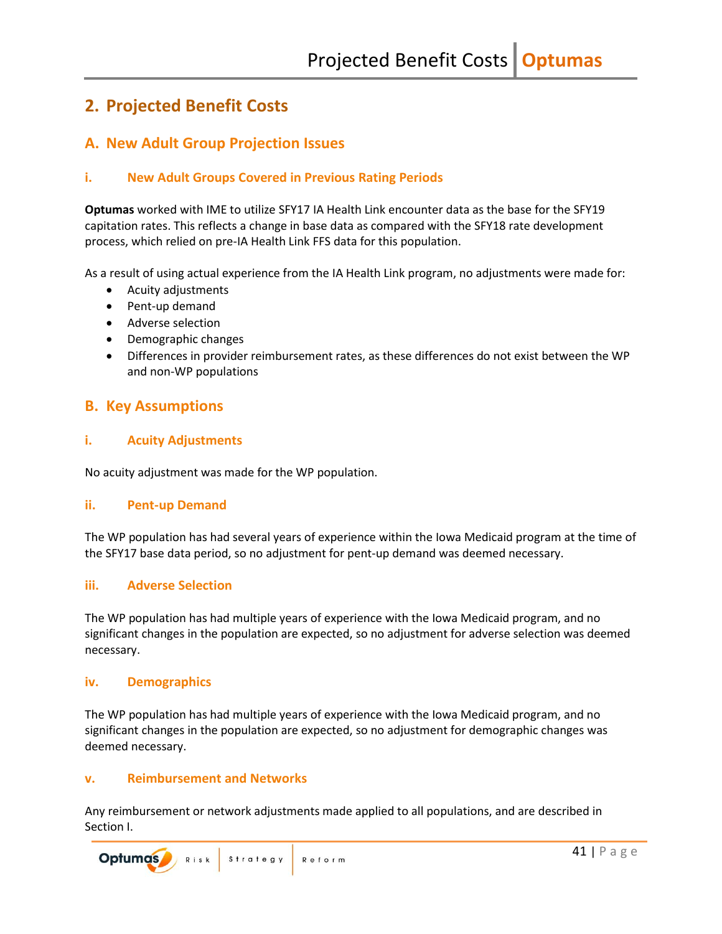## <span id="page-42-0"></span>**2. Projected Benefit Costs**

## <span id="page-42-1"></span>**A. New Adult Group Projection Issues**

### <span id="page-42-2"></span>**i. New Adult Groups Covered in Previous Rating Periods**

**Optumas** worked with IME to utilize SFY17 IA Health Link encounter data as the base for the SFY19 capitation rates. This reflects a change in base data as compared with the SFY18 rate development process, which relied on pre-IA Health Link FFS data for this population.

As a result of using actual experience from the IA Health Link program, no adjustments were made for:

- Acuity adjustments
- Pent-up demand
- Adverse selection
- Demographic changes
- Differences in provider reimbursement rates, as these differences do not exist between the WP and non-WP populations

### <span id="page-42-3"></span>**B. Key Assumptions**

### <span id="page-42-4"></span>**i. Acuity Adjustments**

No acuity adjustment was made for the WP population.

### <span id="page-42-5"></span>**ii. Pent-up Demand**

The WP population has had several years of experience within the Iowa Medicaid program at the time of the SFY17 base data period, so no adjustment for pent-up demand was deemed necessary.

### <span id="page-42-6"></span>**iii. Adverse Selection**

The WP population has had multiple years of experience with the Iowa Medicaid program, and no significant changes in the population are expected, so no adjustment for adverse selection was deemed necessary.

### <span id="page-42-7"></span>**iv. Demographics**

The WP population has had multiple years of experience with the Iowa Medicaid program, and no significant changes in the population are expected, so no adjustment for demographic changes was deemed necessary.

### <span id="page-42-8"></span>**v. Reimbursement and Networks**

Any reimbursement or network adjustments made applied to all populations, and are described in Section I.

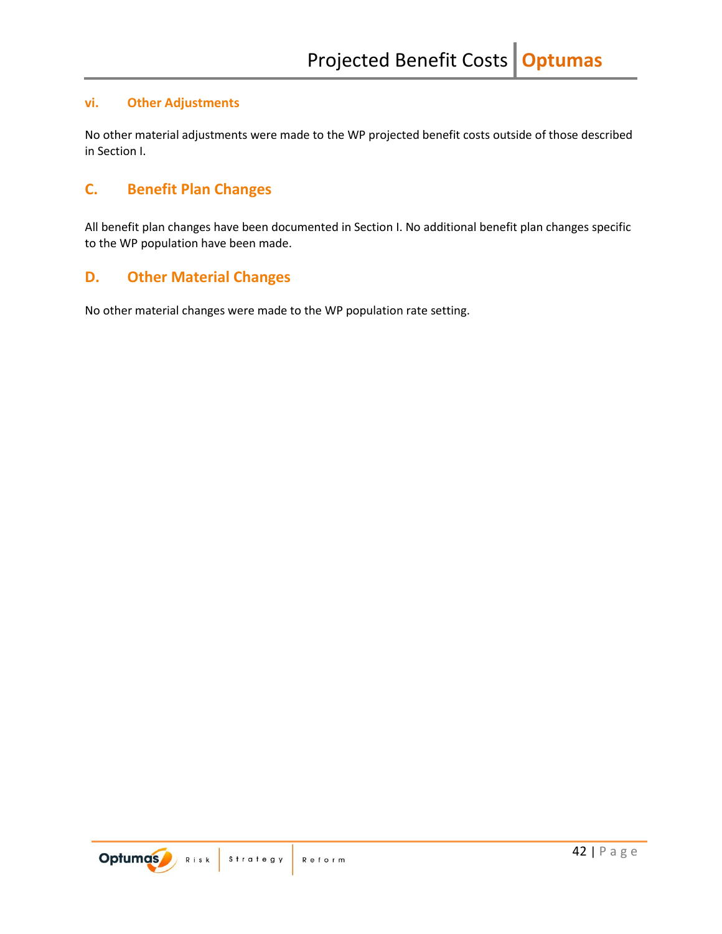### <span id="page-43-0"></span>**vi. Other Adjustments**

No other material adjustments were made to the WP projected benefit costs outside of those described in Section I.

## <span id="page-43-1"></span>**C. Benefit Plan Changes**

All benefit plan changes have been documented in Section I. No additional benefit plan changes specific to the WP population have been made.

## <span id="page-43-2"></span>**D. Other Material Changes**

No other material changes were made to the WP population rate setting.

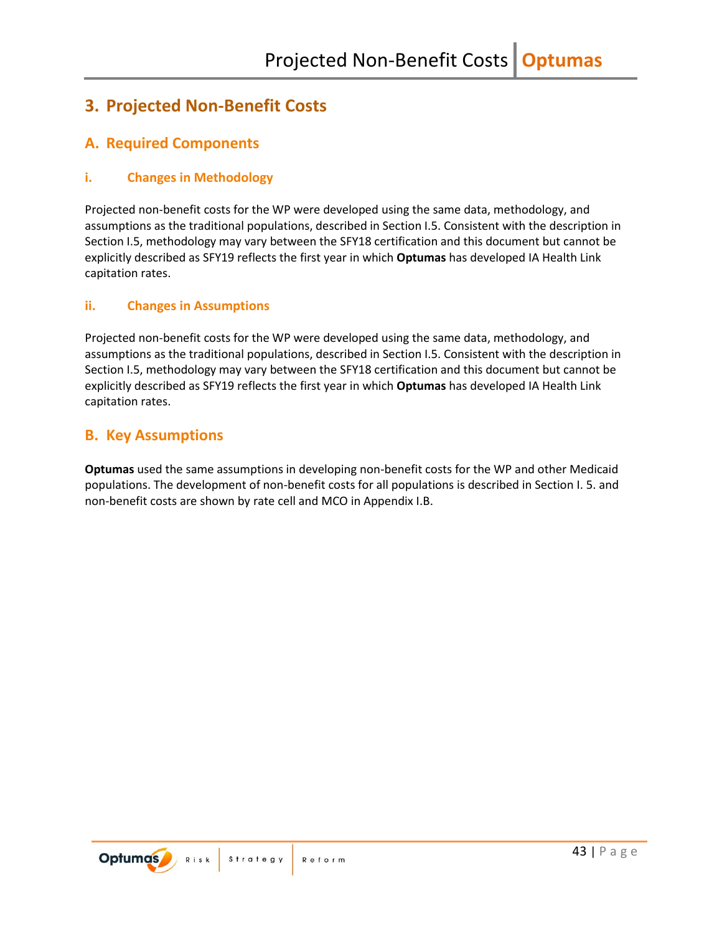## <span id="page-44-0"></span>**3. Projected Non-Benefit Costs**

## <span id="page-44-1"></span>**A. Required Components**

### <span id="page-44-2"></span>**i. Changes in Methodology**

Projected non-benefit costs for the WP were developed using the same data, methodology, and assumptions as the traditional populations, described in Section I.5. Consistent with the description in Section I.5, methodology may vary between the SFY18 certification and this document but cannot be explicitly described as SFY19 reflects the first year in which **Optumas** has developed IA Health Link capitation rates.

### <span id="page-44-3"></span>**ii. Changes in Assumptions**

Projected non-benefit costs for the WP were developed using the same data, methodology, and assumptions as the traditional populations, described in Section I.5. Consistent with the description in Section I.5, methodology may vary between the SFY18 certification and this document but cannot be explicitly described as SFY19 reflects the first year in which **Optumas** has developed IA Health Link capitation rates.

### <span id="page-44-4"></span>**B. Key Assumptions**

**Optumas** used the same assumptions in developing non-benefit costs for the WP and other Medicaid populations. The development of non-benefit costs for all populations is described in Section I. 5. and non-benefit costs are shown by rate cell and MCO in Appendix I.B.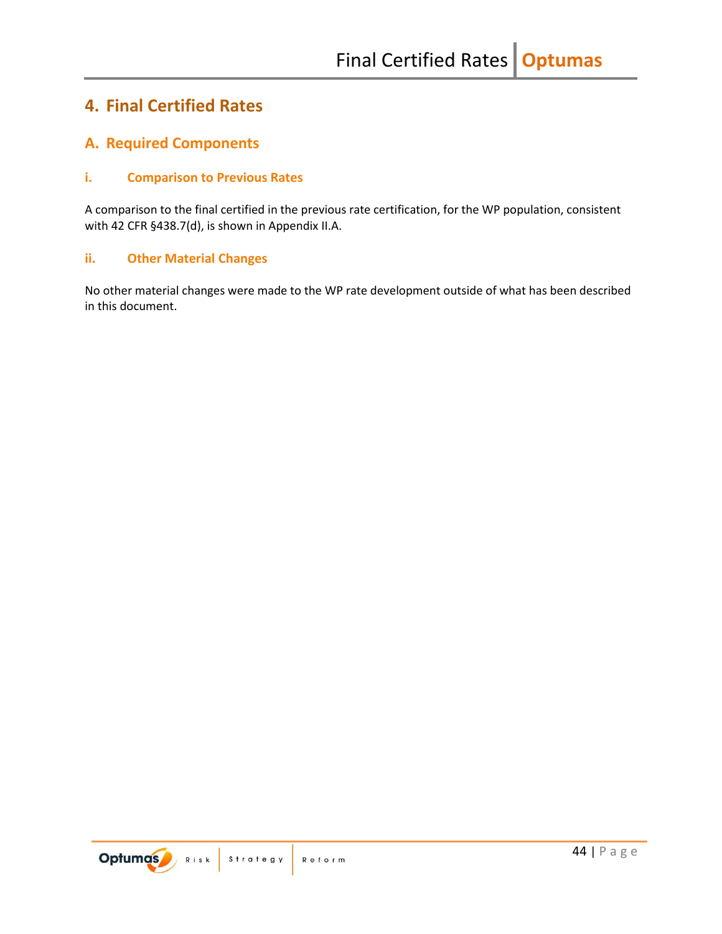## <span id="page-45-0"></span>**4. Final Certified Rates**

## <span id="page-45-1"></span>**A. Required Components**

### <span id="page-45-2"></span>**i. Comparison to Previous Rates**

A comparison to the final certified in the previous rate certification, for the WP population, consistent with 42 CFR §438.7(d), is shown in Appendix II.A.

### <span id="page-45-3"></span>**ii. Other Material Changes**

No other material changes were made to the WP rate development outside of what has been described in this document.

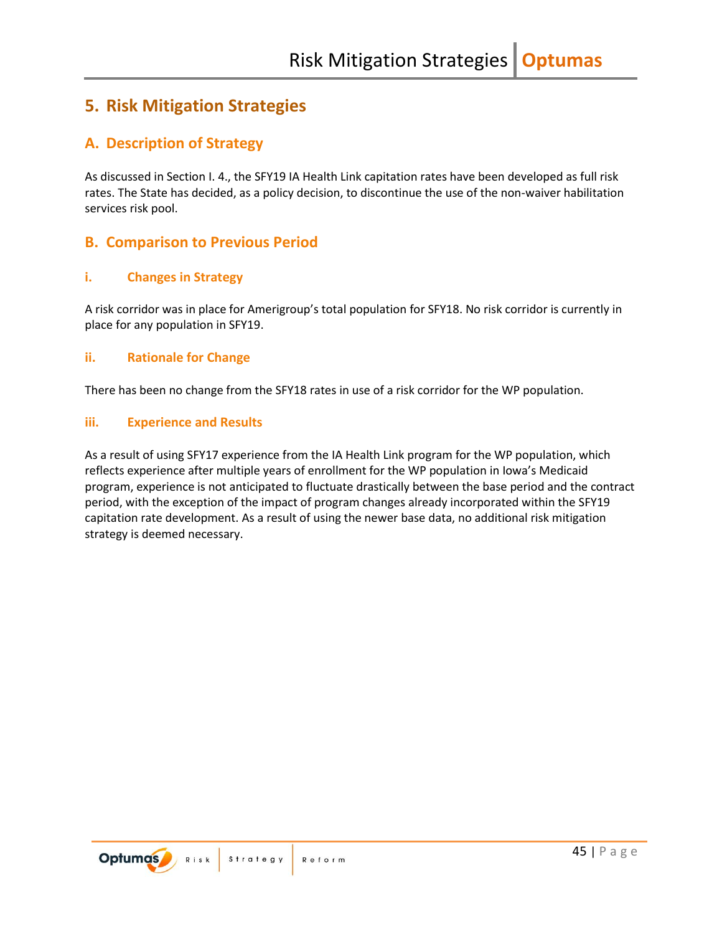## <span id="page-46-0"></span>**5. Risk Mitigation Strategies**

## <span id="page-46-1"></span>**A. Description of Strategy**

As discussed in Section I. 4., the SFY19 IA Health Link capitation rates have been developed as full risk rates. The State has decided, as a policy decision, to discontinue the use of the non-waiver habilitation services risk pool.

## <span id="page-46-2"></span>**B. Comparison to Previous Period**

### <span id="page-46-3"></span>**i. Changes in Strategy**

A risk corridor was in place for Amerigroup's total population for SFY18. No risk corridor is currently in place for any population in SFY19.

### <span id="page-46-4"></span>**ii. Rationale for Change**

There has been no change from the SFY18 rates in use of a risk corridor for the WP population.

### <span id="page-46-5"></span>**iii. Experience and Results**

As a result of using SFY17 experience from the IA Health Link program for the WP population, which reflects experience after multiple years of enrollment for the WP population in Iowa's Medicaid program, experience is not anticipated to fluctuate drastically between the base period and the contract period, with the exception of the impact of program changes already incorporated within the SFY19 capitation rate development. As a result of using the newer base data, no additional risk mitigation strategy is deemed necessary.

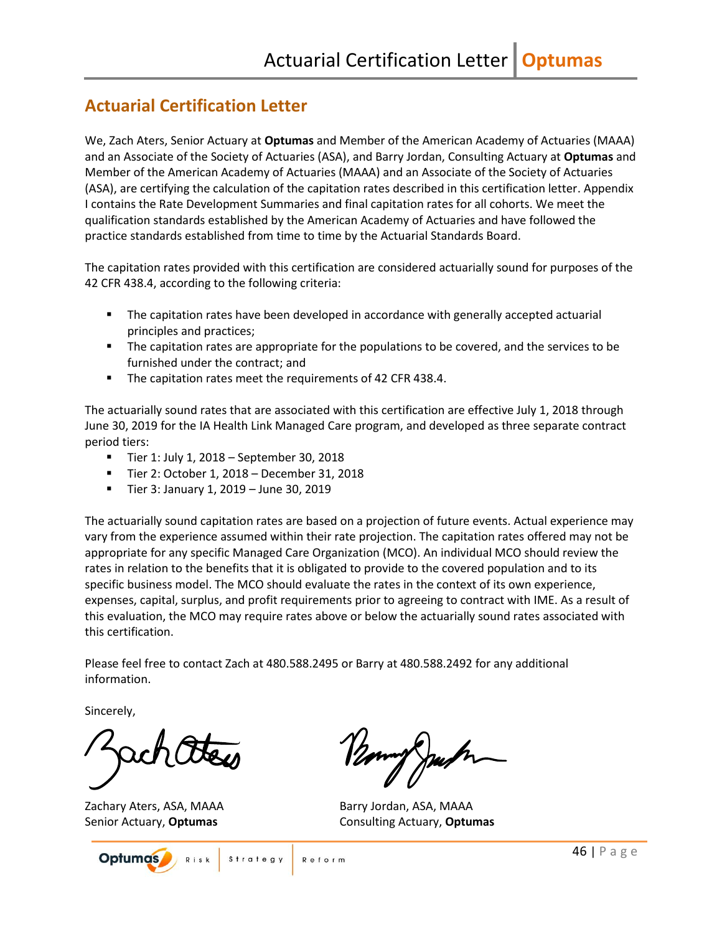## <span id="page-47-0"></span>**Actuarial Certification Letter**

We, Zach Aters, Senior Actuary at **Optumas** and Member of the American Academy of Actuaries (MAAA) and an Associate of the Society of Actuaries (ASA), and Barry Jordan, Consulting Actuary at **Optumas** and Member of the American Academy of Actuaries (MAAA) and an Associate of the Society of Actuaries (ASA), are certifying the calculation of the capitation rates described in this certification letter. Appendix I contains the Rate Development Summaries and final capitation rates for all cohorts. We meet the qualification standards established by the American Academy of Actuaries and have followed the practice standards established from time to time by the Actuarial Standards Board.

The capitation rates provided with this certification are considered actuarially sound for purposes of the 42 CFR 438.4, according to the following criteria:

- **■** The capitation rates have been developed in accordance with generally accepted actuarial principles and practices;
- **•** The capitation rates are appropriate for the populations to be covered, and the services to be furnished under the contract; and
- The capitation rates meet the requirements of 42 CFR 438.4.

The actuarially sound rates that are associated with this certification are effective July 1, 2018 through June 30, 2019 for the IA Health Link Managed Care program, and developed as three separate contract period tiers:

- Tier 1: July 1, 2018 September 30, 2018
- Tier 2: October 1, 2018 December 31, 2018
- Tier 3: January 1, 2019 June 30, 2019

The actuarially sound capitation rates are based on a projection of future events. Actual experience may vary from the experience assumed within their rate projection. The capitation rates offered may not be appropriate for any specific Managed Care Organization (MCO). An individual MCO should review the rates in relation to the benefits that it is obligated to provide to the covered population and to its specific business model. The MCO should evaluate the rates in the context of its own experience, expenses, capital, surplus, and profit requirements prior to agreeing to contract with IME. As a result of this evaluation, the MCO may require rates above or below the actuarially sound rates associated with this certification.

Please feel free to contact Zach at 480.588.2495 or Barry at 480.588.2492 for any additional information.

Reform

Sincerely,

Zachary Aters, ASA, MAAA Barry Jordan, ASA, MAAA



Senior Actuary, **Optumas** Consulting Actuary, **Optumas**